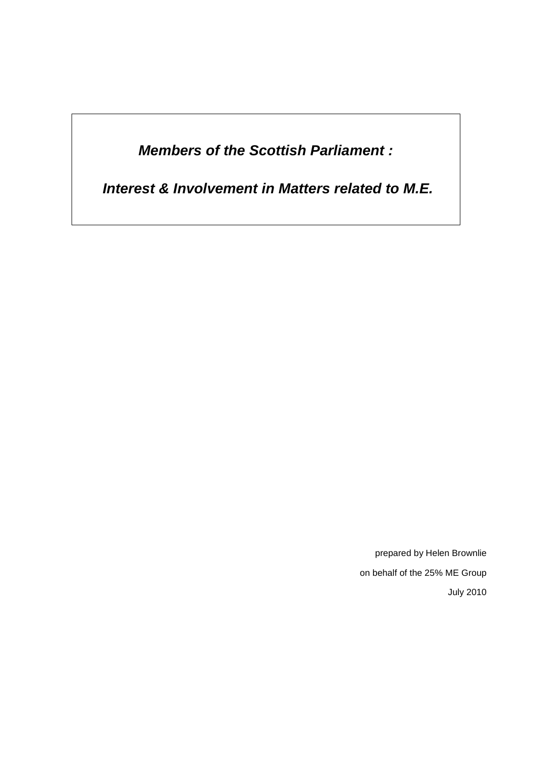*Members of the Scottish Parliament :*

*Interest & Involvement in Matters related to M.E.*

prepared by Helen Brownlie on behalf of the 25% ME Group July 2010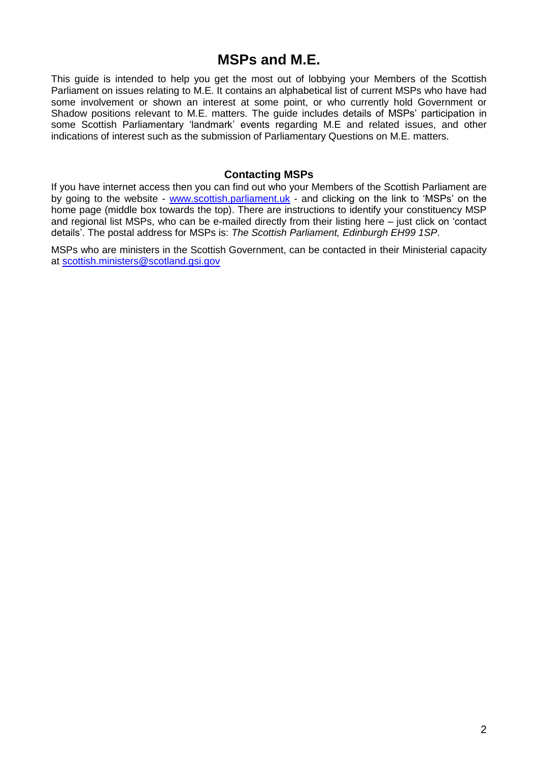# **MSPs and M.E.**

This guide is intended to help you get the most out of lobbying your Members of the Scottish Parliament on issues relating to M.E. It contains an alphabetical list of current MSPs who have had some involvement or shown an interest at some point, or who currently hold Government or Shadow positions relevant to M.E. matters. The guide includes details of MSPs' participation in some Scottish Parliamentary 'landmark' events regarding M.E and related issues, and other indications of interest such as the submission of Parliamentary Questions on M.E. matters.

#### **Contacting MSPs**

If you have internet access then you can find out who your Members of the Scottish Parliament are by going to the website - [www.scottish.parliament.uk](http://www.scottish.parliament.uk/) - and clicking on the link to 'MSPs' on the home page (middle box towards the top). There are instructions to identify your constituency MSP and regional list MSPs, who can be e-mailed directly from their listing here – just click on 'contact details'. The postal address for MSPs is: *The Scottish Parliament, Edinburgh EH99 1SP*.

MSPs who are ministers in the Scottish Government, can be contacted in their Ministerial capacity at [scottish.ministers@scotland.gsi.gov](mailto:scottish.ministers@scotland.gsi.gov)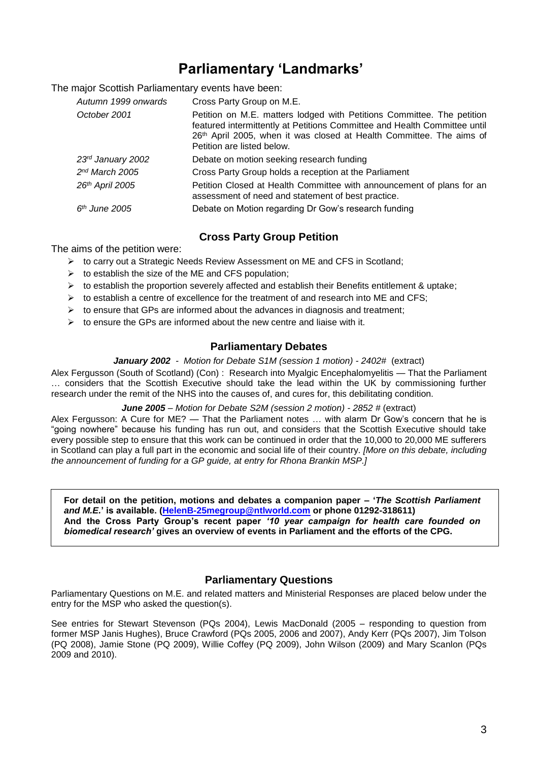# **Parliamentary 'Landmarks'**

The major Scottish Parliamentary events have been:

| Autumn 1999 onwards        | Cross Party Group on M.E.                                                                                                                                                                                                                                 |
|----------------------------|-----------------------------------------------------------------------------------------------------------------------------------------------------------------------------------------------------------------------------------------------------------|
| October 2001               | Petition on M.E. matters lodged with Petitions Committee. The petition<br>featured intermittently at Petitions Committee and Health Committee until<br>26th April 2005, when it was closed at Health Committee. The aims of<br>Petition are listed below. |
| 23rd January 2002          | Debate on motion seeking research funding                                                                                                                                                                                                                 |
| 2 <sup>nd</sup> March 2005 | Cross Party Group holds a reception at the Parliament                                                                                                                                                                                                     |
| 26th April 2005            | Petition Closed at Health Committee with announcement of plans for an<br>assessment of need and statement of best practice.                                                                                                                               |
| $6th$ June 2005            | Debate on Motion regarding Dr Gow's research funding                                                                                                                                                                                                      |

#### **Cross Party Group Petition**

The aims of the petition were:

- ➢ to carry out a Strategic Needs Review Assessment on ME and CFS in Scotland;
- $\triangleright$  to establish the size of the ME and CFS population:
- $\triangleright$  to establish the proportion severely affected and establish their Benefits entitlement & uptake;
- $\triangleright$  to establish a centre of excellence for the treatment of and research into ME and CFS;
- $\triangleright$  to ensure that GPs are informed about the advances in diagnosis and treatment;
- $\triangleright$  to ensure the GPs are informed about the new centre and liaise with it.

#### **Parliamentary Debates**

#### *January 2002 - Motion for Debate S1M (session 1 motion) - 2402#* (extract)

Alex Fergusson (South of Scotland) (Con) : Research into Myalgic Encephalomyelitis — That the Parliament … considers that the Scottish Executive should take the lead within the UK by commissioning further research under the remit of the NHS into the causes of, and cures for, this debilitating condition.

*June 2005 – Motion for Debate S2M (session 2 motion) - 2852 #* (extract)

Alex Fergusson: A Cure for ME? — That the Parliament notes … with alarm Dr Gow's concern that he is "going nowhere" because his funding has run out, and considers that the Scottish Executive should take every possible step to ensure that this work can be continued in order that the 10,000 to 20,000 ME sufferers in Scotland can play a full part in the economic and social life of their country. *[More on this debate, including the announcement of funding for a GP guide, at entry for Rhona Brankin MSP.]*

**For detail on the petition, motions and debates a companion paper – '***The Scottish Parliament and M.E.***' is available. [\(HelenB-25megroup@ntlworld.com](mailto:HelenB-25megroup@ntlworld.com) or phone 01292-318611) And the Cross Party Group's recent paper** *'10 year campaign for health care founded on biomedical research'* **gives an overview of events in Parliament and the efforts of the CPG.** 

#### **Parliamentary Questions**

Parliamentary Questions on M.E. and related matters and Ministerial Responses are placed below under the entry for the MSP who asked the question(s).

See entries for Stewart Stevenson (PQs 2004), Lewis MacDonald (2005 – responding to question from former MSP Janis Hughes), Bruce Crawford (PQs 2005, 2006 and 2007), Andy Kerr (PQs 2007), Jim Tolson (PQ 2008), Jamie Stone (PQ 2009), Willie Coffey (PQ 2009), John Wilson (2009) and Mary Scanlon (PQs 2009 and 2010).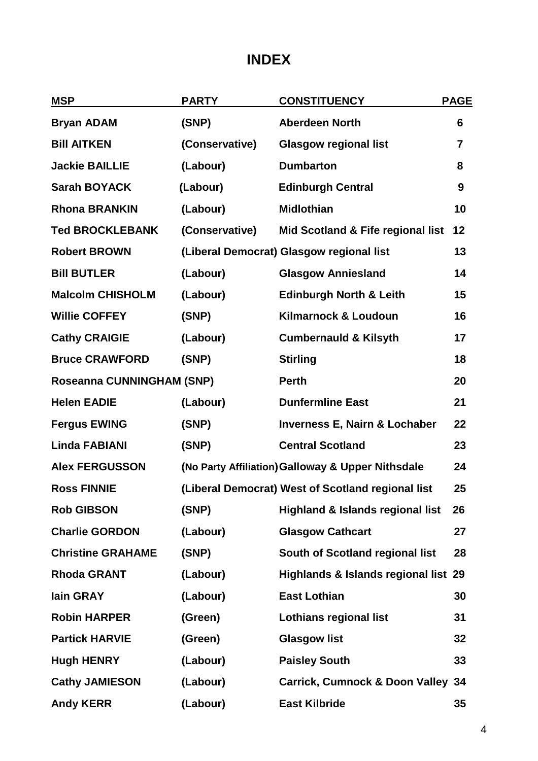# **INDEX**

| <b>MSP</b>                | <b>PARTY</b>   | <b>CONSTITUENCY</b>                               | <b>PAGE</b> |  |
|---------------------------|----------------|---------------------------------------------------|-------------|--|
| <b>Bryan ADAM</b>         | (SNP)          | <b>Aberdeen North</b>                             | 6           |  |
| <b>Bill AITKEN</b>        | (Conservative) | <b>Glasgow regional list</b>                      | 7           |  |
| <b>Jackie BAILLIE</b>     | (Labour)       | <b>Dumbarton</b>                                  | 8           |  |
| <b>Sarah BOYACK</b>       | (Labour)       | <b>Edinburgh Central</b>                          | 9           |  |
| <b>Rhona BRANKIN</b>      | (Labour)       | <b>Midlothian</b>                                 | 10          |  |
| <b>Ted BROCKLEBANK</b>    | (Conservative) | Mid Scotland & Fife regional list                 | 12          |  |
| <b>Robert BROWN</b>       |                | (Liberal Democrat) Glasgow regional list          | 13          |  |
| <b>Bill BUTLER</b>        | (Labour)       | <b>Glasgow Anniesland</b>                         | 14          |  |
| <b>Malcolm CHISHOLM</b>   | (Labour)       | <b>Edinburgh North &amp; Leith</b>                | 15          |  |
| <b>Willie COFFEY</b>      | (SNP)          | <b>Kilmarnock &amp; Loudoun</b>                   | 16          |  |
| <b>Cathy CRAIGIE</b>      | (Labour)       | <b>Cumbernauld &amp; Kilsyth</b>                  | 17          |  |
| <b>Bruce CRAWFORD</b>     | (SNP)          | <b>Stirling</b>                                   | 18          |  |
| Roseanna CUNNINGHAM (SNP) |                | <b>Perth</b>                                      | 20          |  |
| <b>Helen EADIE</b>        | (Labour)       | <b>Dunfermline East</b>                           | 21          |  |
| <b>Fergus EWING</b>       | (SNP)          | <b>Inverness E, Nairn &amp; Lochaber</b>          | 22          |  |
| <b>Linda FABIANI</b>      | (SNP)          | <b>Central Scotland</b>                           | 23          |  |
| <b>Alex FERGUSSON</b>     |                | (No Party Affiliation) Galloway & Upper Nithsdale |             |  |
| <b>Ross FINNIE</b>        |                | (Liberal Democrat) West of Scotland regional list | 25          |  |
| <b>Rob GIBSON</b>         | (SNP)          | <b>Highland &amp; Islands regional list</b>       | 26          |  |
| <b>Charlie GORDON</b>     | (Labour)       | <b>Glasgow Cathcart</b>                           | 27          |  |
| <b>Christine GRAHAME</b>  | (SNP)          | South of Scotland regional list                   | 28          |  |
| <b>Rhoda GRANT</b>        | (Labour)       | Highlands & Islands regional list 29              |             |  |
| lain GRAY                 | (Labour)       | <b>East Lothian</b>                               | 30          |  |
| <b>Robin HARPER</b>       | (Green)        | <b>Lothians regional list</b>                     | 31          |  |
| <b>Partick HARVIE</b>     | (Green)        | <b>Glasgow list</b>                               | 32          |  |
| <b>Hugh HENRY</b>         | (Labour)       | <b>Paisley South</b>                              | 33          |  |
| <b>Cathy JAMIESON</b>     | (Labour)       | Carrick, Cumnock & Doon Valley 34                 |             |  |
| <b>Andy KERR</b>          | (Labour)       | <b>East Kilbride</b>                              | 35          |  |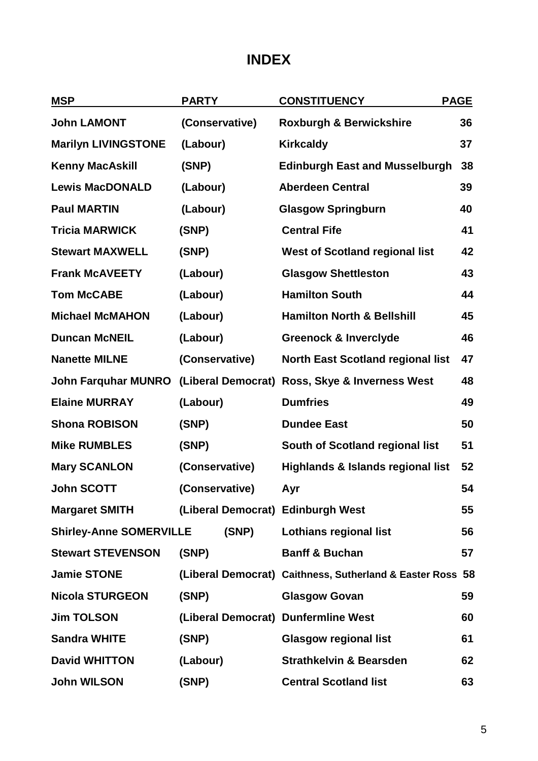# **INDEX**

| <b>MSP</b>                     | <b>PARTY</b>       |       | <b>CONSTITUENCY</b>                                       |    |  | <b>PAGE</b> |  |
|--------------------------------|--------------------|-------|-----------------------------------------------------------|----|--|-------------|--|
| <b>John LAMONT</b>             | (Conservative)     |       | <b>Roxburgh &amp; Berwickshire</b>                        | 36 |  |             |  |
| <b>Marilyn LIVINGSTONE</b>     | (Labour)           |       | <b>Kirkcaldy</b>                                          | 37 |  |             |  |
| <b>Kenny MacAskill</b>         | (SNP)              |       | <b>Edinburgh East and Musselburgh</b>                     | 38 |  |             |  |
| <b>Lewis MacDONALD</b>         | (Labour)           |       | <b>Aberdeen Central</b>                                   | 39 |  |             |  |
| <b>Paul MARTIN</b>             | (Labour)           |       | <b>Glasgow Springburn</b>                                 | 40 |  |             |  |
| <b>Tricia MARWICK</b>          | (SNP)              |       | <b>Central Fife</b>                                       | 41 |  |             |  |
| <b>Stewart MAXWELL</b>         | (SNP)              |       | <b>West of Scotland regional list</b>                     | 42 |  |             |  |
| <b>Frank McAVEETY</b>          | (Labour)           |       | <b>Glasgow Shettleston</b>                                | 43 |  |             |  |
| <b>Tom McCABE</b>              | (Labour)           |       | <b>Hamilton South</b>                                     | 44 |  |             |  |
| <b>Michael McMAHON</b>         | (Labour)           |       | <b>Hamilton North &amp; Bellshill</b>                     | 45 |  |             |  |
| <b>Duncan McNEIL</b>           | (Labour)           |       | <b>Greenock &amp; Inverclyde</b>                          | 46 |  |             |  |
| <b>Nanette MILNE</b>           | (Conservative)     |       | <b>North East Scotland regional list</b>                  | 47 |  |             |  |
| <b>John Farquhar MUNRO</b>     | (Liberal Democrat) |       | Ross, Skye & Inverness West                               | 48 |  |             |  |
| <b>Elaine MURRAY</b>           | (Labour)           |       | <b>Dumfries</b>                                           | 49 |  |             |  |
| <b>Shona ROBISON</b>           | (SNP)              |       | <b>Dundee East</b>                                        | 50 |  |             |  |
| <b>Mike RUMBLES</b>            | (SNP)              |       | South of Scotland regional list                           | 51 |  |             |  |
| <b>Mary SCANLON</b>            | (Conservative)     |       | Highlands & Islands regional list                         | 52 |  |             |  |
| <b>John SCOTT</b>              | (Conservative)     |       | Ayr                                                       | 54 |  |             |  |
| <b>Margaret SMITH</b>          |                    |       | (Liberal Democrat) Edinburgh West                         | 55 |  |             |  |
| <b>Shirley-Anne SOMERVILLE</b> |                    | (SNP) | <b>Lothians regional list</b>                             | 56 |  |             |  |
| <b>Stewart STEVENSON</b>       | (SNP)              |       | <b>Banff &amp; Buchan</b>                                 | 57 |  |             |  |
| <b>Jamie STONE</b>             |                    |       | (Liberal Democrat) Caithness, Sutherland & Easter Ross 58 |    |  |             |  |
| <b>Nicola STURGEON</b>         | (SNP)              |       | <b>Glasgow Govan</b>                                      | 59 |  |             |  |
| <b>Jim TOLSON</b>              |                    |       | (Liberal Democrat) Dunfermline West                       | 60 |  |             |  |
| <b>Sandra WHITE</b>            | (SNP)              |       | <b>Glasgow regional list</b>                              | 61 |  |             |  |
| <b>David WHITTON</b>           | (Labour)           |       | <b>Strathkelvin &amp; Bearsden</b>                        | 62 |  |             |  |
| <b>John WILSON</b>             | (SNP)              |       | <b>Central Scotland list</b>                              | 63 |  |             |  |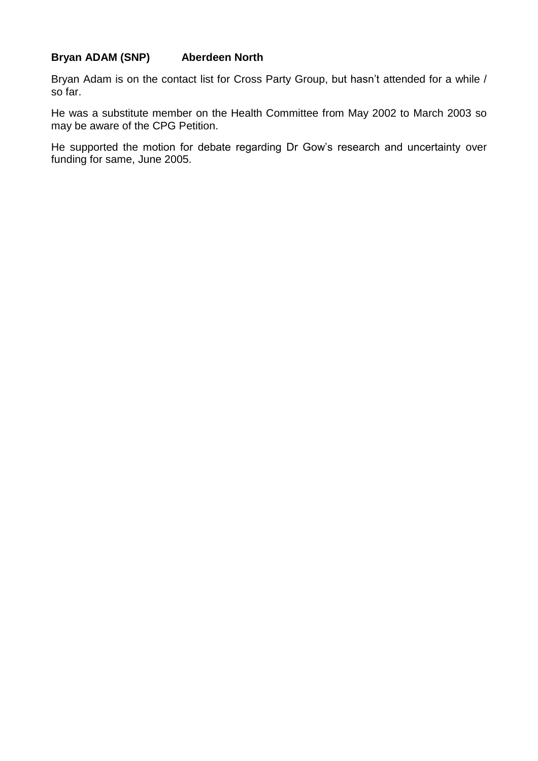## **Bryan ADAM (SNP) Aberdeen North**

Bryan Adam is on the contact list for Cross Party Group, but hasn't attended for a while / so far.

He was a substitute member on the Health Committee from May 2002 to March 2003 so may be aware of the CPG Petition.

He supported the motion for debate regarding Dr Gow's research and uncertainty over funding for same, June 2005.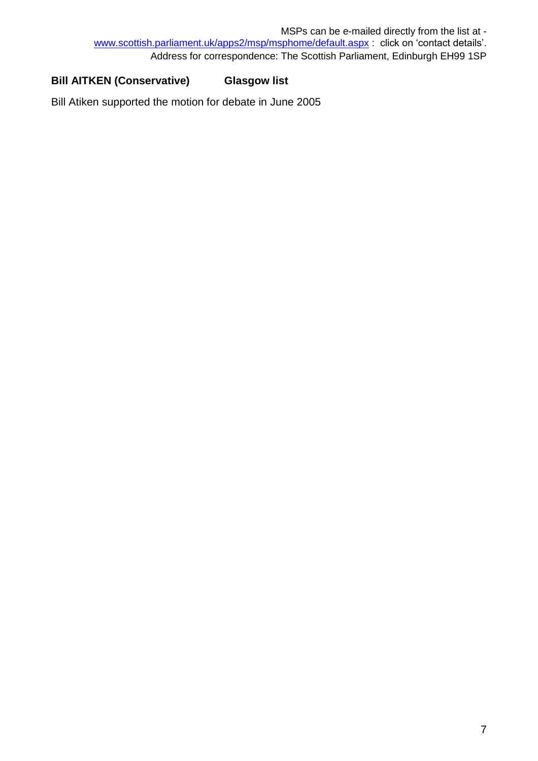## **Bill AITKEN (Conservative) Glasgow list**

Bill Atiken supported the motion for debate in June 2005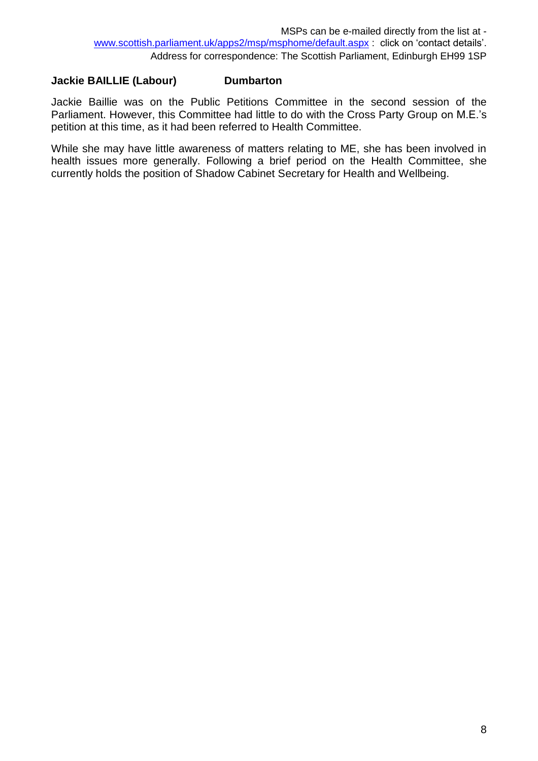### **Jackie BAILLIE (Labour) Dumbarton**

Jackie Baillie was on the Public Petitions Committee in the second session of the Parliament. However, this Committee had little to do with the Cross Party Group on M.E.'s petition at this time, as it had been referred to Health Committee.

While she may have little awareness of matters relating to ME, she has been involved in health issues more generally. Following a brief period on the Health Committee, she currently holds the position of Shadow Cabinet Secretary for Health and Wellbeing.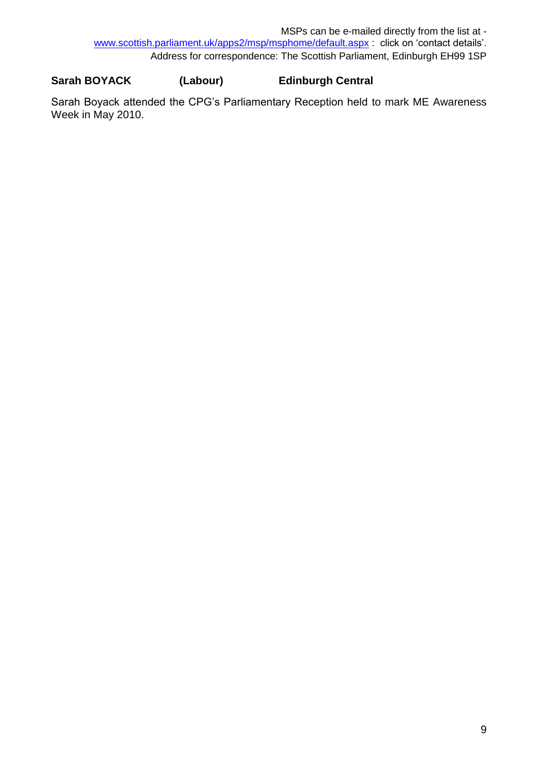#### **Sarah BOYACK (Labour) Edinburgh Central**

Sarah Boyack attended the CPG's Parliamentary Reception held to mark ME Awareness Week in May 2010.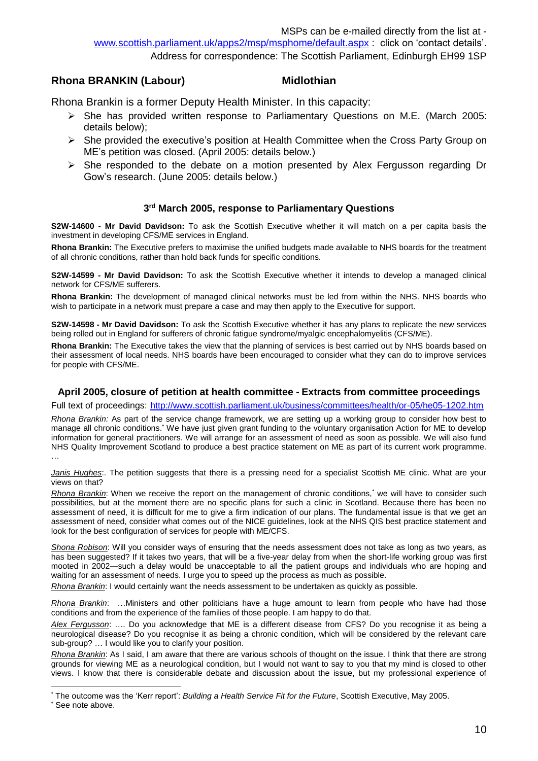#### **Rhona BRANKIN (Labour) Midlothian**

Rhona Brankin is a former Deputy Health Minister. In this capacity:

- ➢ She has provided written response to Parliamentary Questions on M.E. (March 2005: details below);
- ➢ She provided the executive's position at Health Committee when the Cross Party Group on ME's petition was closed. (April 2005: details below.)
- $\triangleright$  She responded to the debate on a motion presented by Alex Fergusson regarding Dr Gow's research. (June 2005: details below.)

#### **3 rd March 2005, response to Parliamentary Questions**

**S2W-14600 - Mr David Davidson:** To ask the Scottish Executive whether it will match on a per capita basis the investment in developing CFS/ME services in England.

**Rhona Brankin:** The Executive prefers to maximise the unified budgets made available to NHS boards for the treatment of all chronic conditions, rather than hold back funds for specific conditions.

**S2W-14599 - Mr David Davidson:** To ask the Scottish Executive whether it intends to develop a managed clinical network for CFS/ME sufferers.

**Rhona Brankin:** The development of managed clinical networks must be led from within the NHS. NHS boards who wish to participate in a network must prepare a case and may then apply to the Executive for support.

**S2W-14598 - Mr David Davidson:** To ask the Scottish Executive whether it has any plans to replicate the new services being rolled out in England for sufferers of chronic fatigue syndrome/myalgic encephalomyelitis (CFS/ME).

**Rhona Brankin:** The Executive takes the view that the planning of services is best carried out by NHS boards based on their assessment of local needs. NHS boards have been encouraged to consider what they can do to improve services for people with CFS/ME.

#### **April 2005, closure of petition at health committee - Extracts from committee proceedings**

Full text of proceedings:<http://www.scottish.parliament.uk/business/committees/health/or-05/he05-1202.htm>

*Rhona Brankin:* As part of the service change framework, we are setting up a working group to consider how best to manage all chronic conditions.<sup>\*</sup> We have just given grant funding to the voluntary organisation Action for ME to develop information for general practitioners. We will arrange for an assessment of need as soon as possible. We will also fund NHS Quality Improvement Scotland to produce a best practice statement on ME as part of its current work programme.

*Janis Hughes*:. The petition suggests that there is a pressing need for a specialist Scottish ME clinic. What are your views on that?

*Rhona Brankin*: When we receive the report on the management of chronic conditions,\* we will have to consider such possibilities, but at the moment there are no specific plans for such a clinic in Scotland. Because there has been no assessment of need, it is difficult for me to give a firm indication of our plans. The fundamental issue is that we get an assessment of need, consider what comes out of the NICE guidelines, look at the NHS QIS best practice statement and look for the best configuration of services for people with ME/CFS.

*Shona Robison*: Will you consider ways of ensuring that the needs assessment does not take as long as two years, as has been suggested? If it takes two years, that will be a five-year delay from when the short-life working group was first mooted in 2002—such a delay would be unacceptable to all the patient groups and individuals who are hoping and waiting for an assessment of needs. I urge you to speed up the process as much as possible.

*Rhona Brankin*: I would certainly want the needs assessment to be undertaken as quickly as possible.

*Rhona Brankin*: …Ministers and other politicians have a huge amount to learn from people who have had those conditions and from the experience of the families of those people. I am happy to do that.

*Alex Fergusson*: …. Do you acknowledge that ME is a different disease from CFS? Do you recognise it as being a neurological disease? Do you recognise it as being a chronic condition, which will be considered by the relevant care sub-group? … I would like you to clarify your position.

*Rhona Brankin*: As I said, I am aware that there are various schools of thought on the issue. I think that there are strong grounds for viewing ME as a neurological condition, but I would not want to say to you that my mind is closed to other views. I know that there is considerable debate and discussion about the issue, but my professional experience of

l

…

The outcome was the 'Kerr report': *Building a Health Service Fit for the Future*, Scottish Executive, May 2005.

See note above.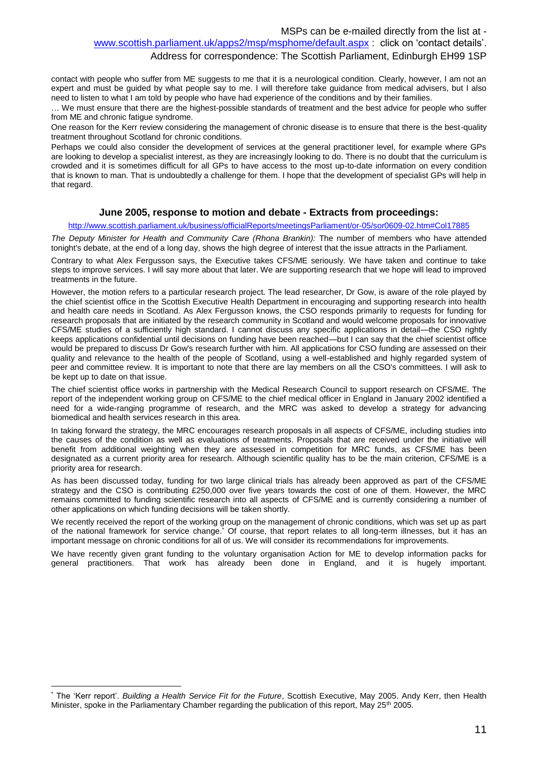Address for correspondence: The Scottish Parliament, Edinburgh EH99 1SP

contact with people who suffer from ME suggests to me that it is a neurological condition. Clearly, however, I am not an expert and must be guided by what people say to me. I will therefore take guidance from medical advisers, but I also need to listen to what I am told by people who have had experience of the conditions and by their families.

… We must ensure that there are the highest-possible standards of treatment and the best advice for people who suffer from ME and chronic fatigue syndrome.

One reason for the Kerr review considering the management of chronic disease is to ensure that there is the best-quality treatment throughout Scotland for chronic conditions.

Perhaps we could also consider the development of services at the general practitioner level, for example where GPs are looking to develop a specialist interest, as they are increasingly looking to do. There is no doubt that the curriculum is crowded and it is sometimes difficult for all GPs to have access to the most up-to-date information on every condition that is known to man. That is undoubtedly a challenge for them. I hope that the development of specialist GPs will help in that regard.

#### **June 2005, response to motion and debate - Extracts from proceedings:**

#### <http://www.scottish.parliament.uk/business/officialReports/meetingsParliament/or-05/sor0609-02.htm#Col17885>

*The Deputy Minister for Health and Community Care (Rhona Brankin):* The number of members who have attended tonight's debate, at the end of a long day, shows the high degree of interest that the issue attracts in the Parliament.

Contrary to what Alex Fergusson says, the Executive takes CFS/ME seriously. We have taken and continue to take steps to improve services. I will say more about that later. We are supporting research that we hope will lead to improved treatments in the future.

However, the motion refers to a particular research project. The lead researcher, Dr Gow, is aware of the role played by the chief scientist office in the Scottish Executive Health Department in encouraging and supporting research into health and health care needs in Scotland. As Alex Fergusson knows, the CSO responds primarily to requests for funding for research proposals that are initiated by the research community in Scotland and would welcome proposals for innovative CFS/ME studies of a sufficiently high standard. I cannot discuss any specific applications in detail—the CSO rightly keeps applications confidential until decisions on funding have been reached—but I can say that the chief scientist office would be prepared to discuss Dr Gow's research further with him. All applications for CSO funding are assessed on their quality and relevance to the health of the people of Scotland, using a well-established and highly regarded system of peer and committee review. It is important to note that there are lay members on all the CSO's committees. I will ask to be kept up to date on that issue.

The chief scientist office works in partnership with the Medical Research Council to support research on CFS/ME. The report of the independent working group on CFS/ME to the chief medical officer in England in January 2002 identified a need for a wide-ranging programme of research, and the MRC was asked to develop a strategy for advancing biomedical and health services research in this area.

In taking forward the strategy, the MRC encourages research proposals in all aspects of CFS/ME, including studies into the causes of the condition as well as evaluations of treatments. Proposals that are received under the initiative will benefit from additional weighting when they are assessed in competition for MRC funds, as CFS/ME has been designated as a current priority area for research. Although scientific quality has to be the main criterion, CFS/ME is a priority area for research.

As has been discussed today, funding for two large clinical trials has already been approved as part of the CFS/ME strategy and the CSO is contributing £250,000 over five years towards the cost of one of them. However, the MRC remains committed to funding scientific research into all aspects of CFS/ME and is currently considering a number of other applications on which funding decisions will be taken shortly.

We recently received the report of the working group on the management of chronic conditions, which was set up as part of the national framework for service change.\* Of course, that report relates to all long-term illnesses, but it has an important message on chronic conditions for all of us. We will consider its recommendations for improvements.

We have recently given grant funding to the voluntary organisation Action for ME to develop information packs for general practitioners. That work has already been done in England, and it is hugely important.

l

<sup>\*</sup> The 'Kerr report'. *Building a Health Service Fit for the Future*, Scottish Executive, May 2005. Andy Kerr, then Health Minister, spoke in the Parliamentary Chamber regarding the publication of this report, May 25<sup>th</sup> 2005.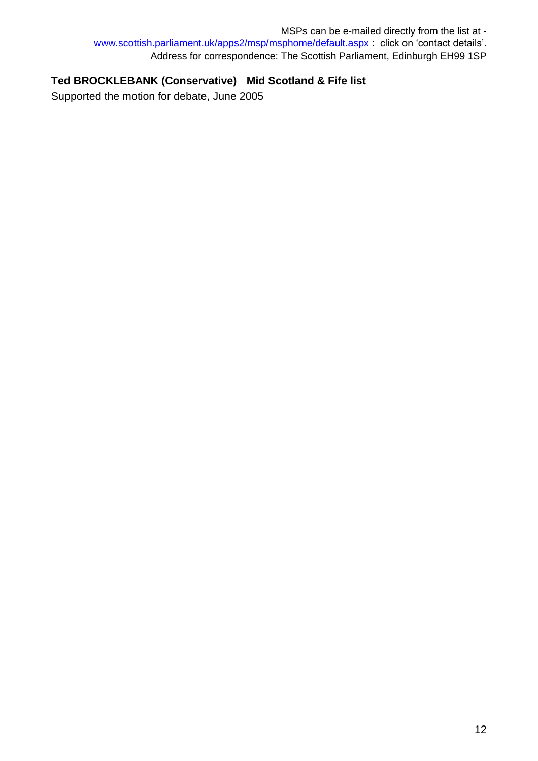## **Ted BROCKLEBANK (Conservative) Mid Scotland & Fife list**

Supported the motion for debate, June 2005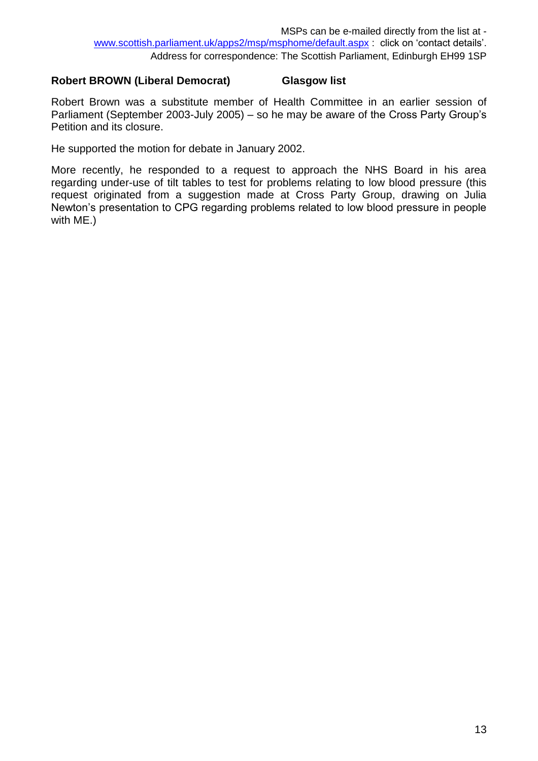#### **Robert BROWN (Liberal Democrat) Glasgow list**

Robert Brown was a substitute member of Health Committee in an earlier session of Parliament (September 2003-July 2005) – so he may be aware of the Cross Party Group's Petition and its closure.

He supported the motion for debate in January 2002.

More recently, he responded to a request to approach the NHS Board in his area regarding under-use of tilt tables to test for problems relating to low blood pressure (this request originated from a suggestion made at Cross Party Group, drawing on Julia Newton's presentation to CPG regarding problems related to low blood pressure in people with ME.)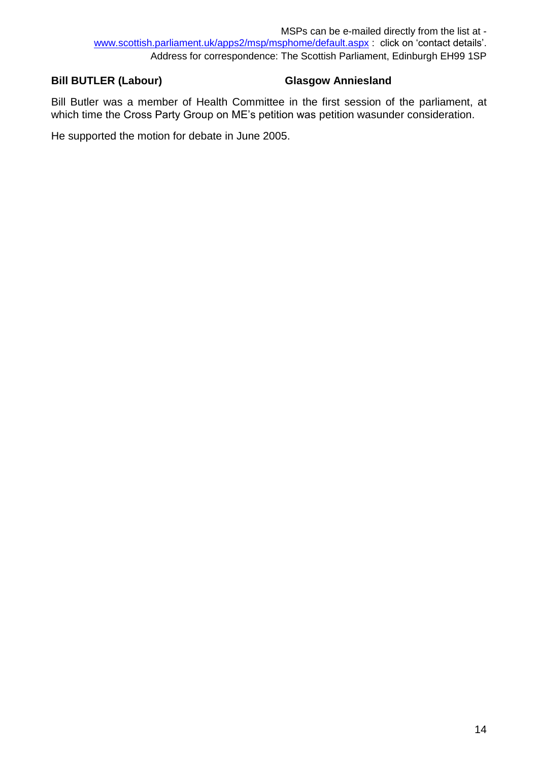## **Bill BUTLER (Labour) Glasgow Anniesland**

Bill Butler was a member of Health Committee in the first session of the parliament, at which time the Cross Party Group on ME's petition was petition wasunder consideration.

He supported the motion for debate in June 2005.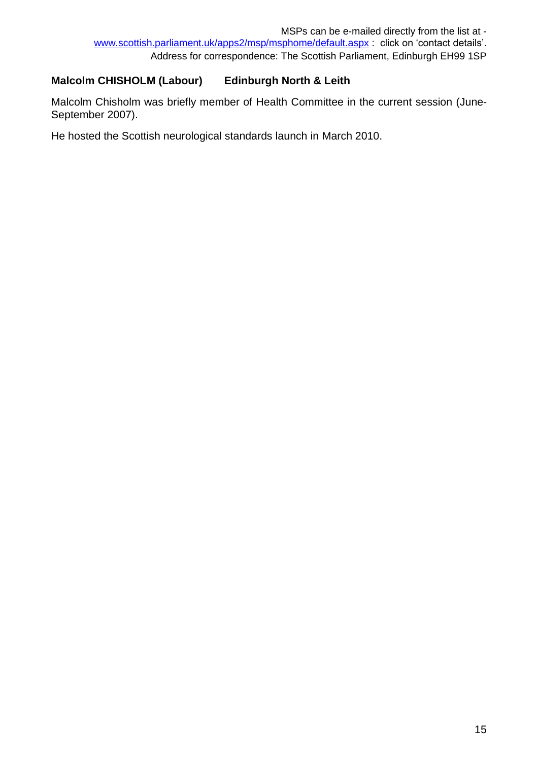## **Malcolm CHISHOLM (Labour) Edinburgh North & Leith**

Malcolm Chisholm was briefly member of Health Committee in the current session (June-September 2007).

He hosted the Scottish neurological standards launch in March 2010.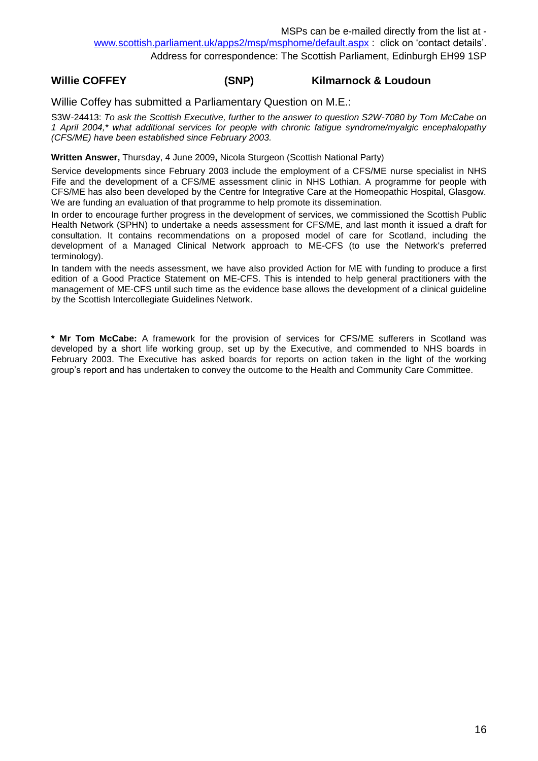#### **Willie COFFEY (SNP) Kilmarnock & Loudoun**

Willie Coffey has submitted a Parliamentary Question on M.E.:

S3W-24413: *To ask the Scottish Executive, further to the answer to question S2W-7080 by Tom McCabe on 1 April 2004,\* what additional services for people with chronic fatigue syndrome/myalgic encephalopathy (CFS/ME) have been established since February 2003.*

**Written Answer,** Thursday, 4 June 2009**,** Nicola Sturgeon (Scottish National Party)

Service developments since February 2003 include the employment of a CFS/ME nurse specialist in NHS Fife and the development of a CFS/ME assessment clinic in NHS Lothian. A programme for people with CFS/ME has also been developed by the Centre for Integrative Care at the Homeopathic Hospital, Glasgow. We are funding an evaluation of that programme to help promote its dissemination.

In order to encourage further progress in the development of services, we commissioned the Scottish Public Health Network (SPHN) to undertake a needs assessment for CFS/ME, and last month it issued a draft for consultation. It contains recommendations on a proposed model of care for Scotland, including the development of a Managed Clinical Network approach to ME-CFS (to use the Network's preferred terminology).

In tandem with the needs assessment, we have also provided Action for ME with funding to produce a first edition of a Good Practice Statement on ME-CFS. This is intended to help general practitioners with the management of ME-CFS until such time as the evidence base allows the development of a clinical guideline by the Scottish Intercollegiate Guidelines Network.

**\* Mr Tom McCabe:** A framework for the provision of services for CFS/ME sufferers in Scotland was developed by a short life working group, set up by the Executive, and commended to NHS boards in February 2003. The Executive has asked boards for reports on action taken in the light of the working group's report and has undertaken to convey the outcome to the Health and Community Care Committee.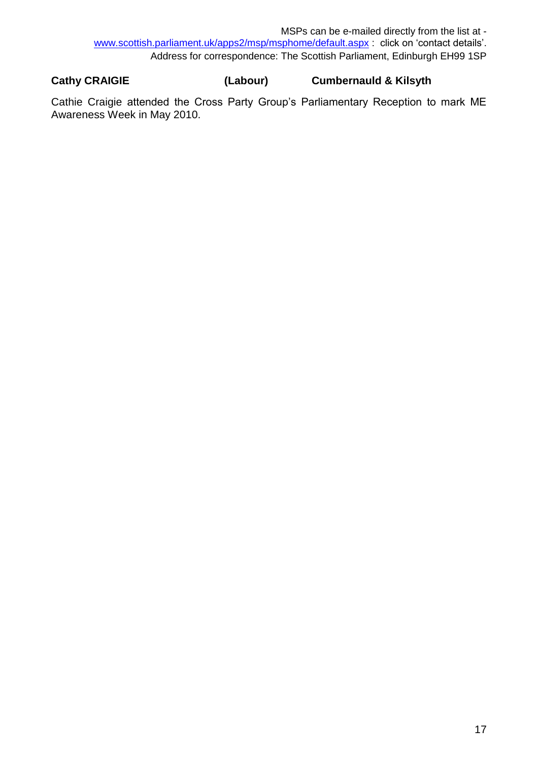MSPs can be e-mailed directly from the list at [www.scottish.parliament.uk/apps2/msp/msphome/default.aspx](http://www.scottish.parliament.uk/apps2/msp/msphome/default.aspx) : click on 'contact details'. Address for correspondence: The Scottish Parliament, Edinburgh EH99 1SP

**Cathy CRAIGIE (Labour) Cumbernauld & Kilsyth** 

Cathie Craigie attended the Cross Party Group's Parliamentary Reception to mark ME Awareness Week in May 2010.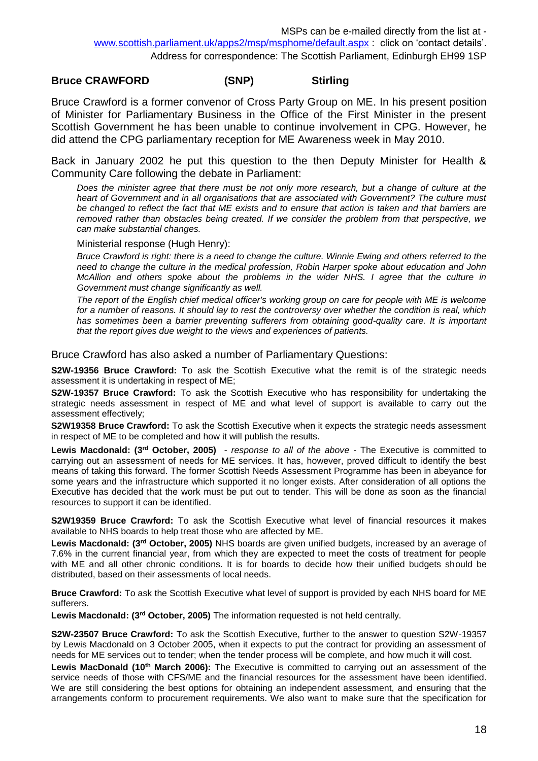#### **Bruce CRAWFORD (SNP) Stirling**

Bruce Crawford is a former convenor of Cross Party Group on ME. In his present position of Minister for Parliamentary Business in the Office of the First Minister in the present Scottish Government he has been unable to continue involvement in CPG. However, he did attend the CPG parliamentary reception for ME Awareness week in May 2010.

Back in January 2002 he put this question to the then Deputy Minister for Health & Community Care following the debate in Parliament:

*Does the minister agree that there must be not only more research, but a change of culture at the*  heart of Government and in all organisations that are associated with Government? The culture must *be changed to reflect the fact that ME exists and to ensure that action is taken and that barriers are removed rather than obstacles being created. If we consider the problem from that perspective, we can make substantial changes.*

Ministerial response (Hugh Henry):

*Bruce Crawford is right: there is a need to change the culture. Winnie Ewing and others referred to the need to change the culture in the medical profession, Robin Harper spoke about education and John McAllion and others spoke about the problems in the wider NHS. I agree that the culture in Government must change significantly as well.* 

*The report of the English chief medical officer's working group on care for people with ME is welcome for a number of reasons. It should lay to rest the controversy over whether the condition is real, which*  has sometimes been a barrier preventing sufferers from obtaining good-quality care. It is important *that the report gives due weight to the views and experiences of patients.*

Bruce Crawford has also asked a number of Parliamentary Questions:

**S2W-19356 Bruce Crawford:** To ask the Scottish Executive what the remit is of the strategic needs assessment it is undertaking in respect of ME;

**S2W-19357 Bruce Crawford:** To ask the Scottish Executive who has responsibility for undertaking the strategic needs assessment in respect of ME and what level of support is available to carry out the assessment effectively;

**S2W19358 Bruce Crawford:** To ask the Scottish Executive when it expects the strategic needs assessment in respect of ME to be completed and how it will publish the results.

Lewis Macdonald: (3<sup>rd</sup> October, 2005) - *response to all of the above* - The Executive is committed to carrying out an assessment of needs for ME services. It has, however, proved difficult to identify the best means of taking this forward. The former Scottish Needs Assessment Programme has been in abeyance for some years and the infrastructure which supported it no longer exists. After consideration of all options the Executive has decided that the work must be put out to tender. This will be done as soon as the financial resources to support it can be identified.

**S2W19359 Bruce Crawford:** To ask the Scottish Executive what level of financial resources it makes available to NHS boards to help treat those who are affected by ME.

**Lewis Macdonald: (3rd October, 2005)** NHS boards are given unified budgets, increased by an average of 7.6% in the current financial year, from which they are expected to meet the costs of treatment for people with ME and all other chronic conditions. It is for boards to decide how their unified budgets should be distributed, based on their assessments of local needs.

**Bruce Crawford:** To ask the Scottish Executive what level of support is provided by each NHS board for ME sufferers.

**Lewis Macdonald: (3rd October, 2005)** The information requested is not held centrally.

**S2W-23507 Bruce Crawford:** To ask the Scottish Executive, further to the answer to question S2W-19357 by Lewis Macdonald on 3 October 2005, when it expects to put the contract for providing an assessment of needs for ME services out to tender; when the tender process will be complete, and how much it will cost.

**Lewis MacDonald (10th March 2006):** The Executive is committed to carrying out an assessment of the service needs of those with CFS/ME and the financial resources for the assessment have been identified. We are still considering the best options for obtaining an independent assessment, and ensuring that the arrangements conform to procurement requirements. We also want to make sure that the specification for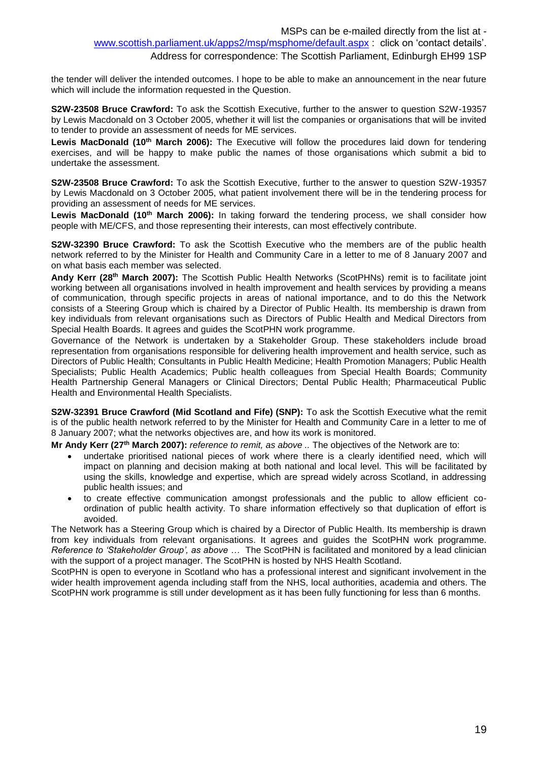Address for correspondence: The Scottish Parliament, Edinburgh EH99 1SP

the tender will deliver the intended outcomes. I hope to be able to make an announcement in the near future which will include the information requested in the Question.

**S2W-23508 Bruce Crawford:** To ask the Scottish Executive, further to the answer to question S2W-19357 by Lewis Macdonald on 3 October 2005, whether it will list the companies or organisations that will be invited to tender to provide an assessment of needs for ME services.

**Lewis MacDonald (10th March 2006):** The Executive will follow the procedures laid down for tendering exercises, and will be happy to make public the names of those organisations which submit a bid to undertake the assessment.

**S2W-23508 Bruce Crawford:** To ask the Scottish Executive, further to the answer to question S2W-19357 by Lewis Macdonald on 3 October 2005, what patient involvement there will be in the tendering process for providing an assessment of needs for ME services.

**Lewis MacDonald (10th March 2006):** In taking forward the tendering process, we shall consider how people with ME/CFS, and those representing their interests, can most effectively contribute.

**S2W-32390 Bruce Crawford:** To ask the Scottish Executive who the members are of the public health network referred to by the Minister for Health and Community Care in a letter to me of 8 January 2007 and on what basis each member was selected.

**Andy Kerr (28th March 2007):** The Scottish Public Health Networks (ScotPHNs) remit is to facilitate joint working between all organisations involved in health improvement and health services by providing a means of communication, through specific projects in areas of national importance, and to do this the Network consists of a Steering Group which is chaired by a Director of Public Health. Its membership is drawn from key individuals from relevant organisations such as Directors of Public Health and Medical Directors from Special Health Boards. It agrees and guides the ScotPHN work programme.

Governance of the Network is undertaken by a Stakeholder Group. These stakeholders include broad representation from organisations responsible for delivering health improvement and health service, such as Directors of Public Health; Consultants in Public Health Medicine; Health Promotion Managers; Public Health Specialists; Public Health Academics; Public health colleagues from Special Health Boards; Community Health Partnership General Managers or Clinical Directors; Dental Public Health; Pharmaceutical Public Health and Environmental Health Specialists.

**S2W-32391 Bruce Crawford (Mid Scotland and Fife) (SNP):** To ask the Scottish Executive what the remit is of the public health network referred to by the Minister for Health and Community Care in a letter to me of 8 January 2007; what the networks objectives are, and how its work is monitored.

**Mr Andy Kerr (27th March 2007):** *reference to remit, as above ..* The objectives of the Network are to:

- undertake prioritised national pieces of work where there is a clearly identified need, which will impact on planning and decision making at both national and local level. This will be facilitated by using the skills, knowledge and expertise, which are spread widely across Scotland, in addressing public health issues; and
- to create effective communication amongst professionals and the public to allow efficient coordination of public health activity. To share information effectively so that duplication of effort is avoided.

The Network has a Steering Group which is chaired by a Director of Public Health. Its membership is drawn from key individuals from relevant organisations. It agrees and guides the ScotPHN work programme. *Reference to 'Stakeholder Group', as above …* The ScotPHN is facilitated and monitored by a lead clinician with the support of a project manager. The ScotPHN is hosted by NHS Health Scotland.

ScotPHN is open to everyone in Scotland who has a professional interest and significant involvement in the wider health improvement agenda including staff from the NHS, local authorities, academia and others. The ScotPHN work programme is still under development as it has been fully functioning for less than 6 months.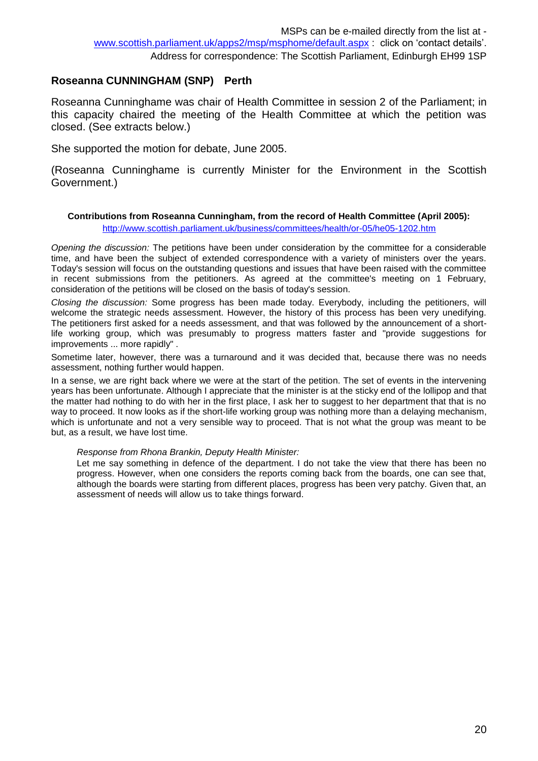### **Roseanna CUNNINGHAM (SNP) Perth**

Roseanna Cunninghame was chair of Health Committee in session 2 of the Parliament; in this capacity chaired the meeting of the Health Committee at which the petition was closed. (See extracts below.)

She supported the motion for debate, June 2005.

(Roseanna Cunninghame is currently Minister for the Environment in the Scottish Government.)

#### **Contributions from Roseanna Cunningham, from the record of Health Committee (April 2005):**

<http://www.scottish.parliament.uk/business/committees/health/or-05/he05-1202.htm>

*Opening the discussion:* The petitions have been under consideration by the committee for a considerable time, and have been the subject of extended correspondence with a variety of ministers over the years. Today's session will focus on the outstanding questions and issues that have been raised with the committee in recent submissions from the petitioners. As agreed at the committee's meeting on 1 February, consideration of the petitions will be closed on the basis of today's session.

*Closing the discussion:* Some progress has been made today. Everybody, including the petitioners, will welcome the strategic needs assessment. However, the history of this process has been very unedifying. The petitioners first asked for a needs assessment, and that was followed by the announcement of a shortlife working group, which was presumably to progress matters faster and "provide suggestions for improvements ... more rapidly" .

Sometime later, however, there was a turnaround and it was decided that, because there was no needs assessment, nothing further would happen.

In a sense, we are right back where we were at the start of the petition. The set of events in the intervening years has been unfortunate. Although I appreciate that the minister is at the sticky end of the lollipop and that the matter had nothing to do with her in the first place, I ask her to suggest to her department that that is no way to proceed. It now looks as if the short-life working group was nothing more than a delaying mechanism, which is unfortunate and not a very sensible way to proceed. That is not what the group was meant to be but, as a result, we have lost time.

#### *Response from Rhona Brankin, Deputy Health Minister:*

Let me say something in defence of the department. I do not take the view that there has been no progress. However, when one considers the reports coming back from the boards, one can see that, although the boards were starting from different places, progress has been very patchy. Given that, an assessment of needs will allow us to take things forward.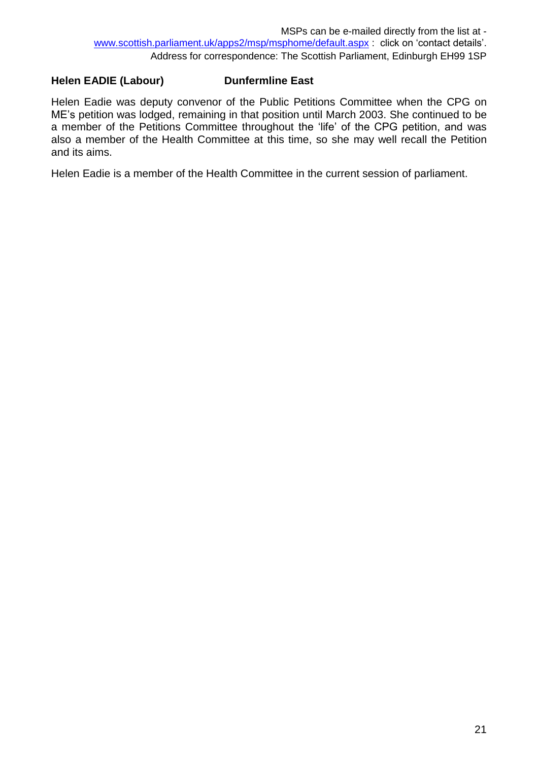## **Helen EADIE (Labour) Dunfermline East**

Helen Eadie was deputy convenor of the Public Petitions Committee when the CPG on ME's petition was lodged, remaining in that position until March 2003. She continued to be a member of the Petitions Committee throughout the 'life' of the CPG petition, and was also a member of the Health Committee at this time, so she may well recall the Petition and its aims.

Helen Eadie is a member of the Health Committee in the current session of parliament.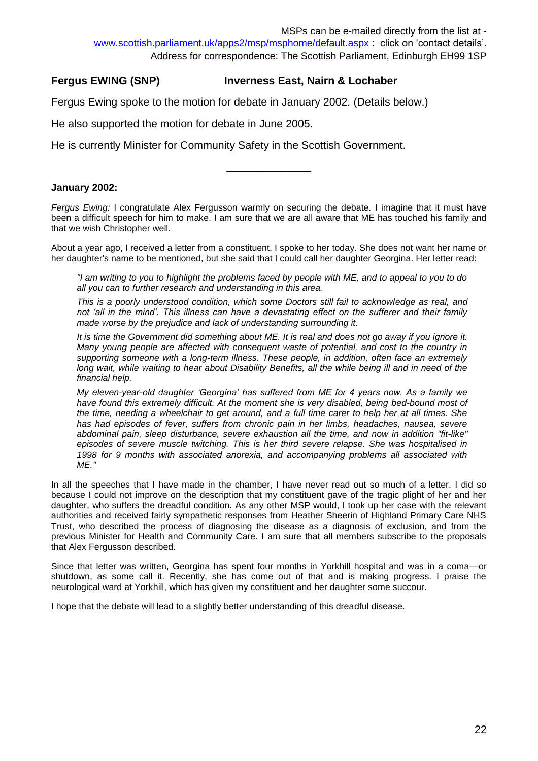#### **Fergus EWING (SNP) Inverness East, Nairn & Lochaber**

Fergus Ewing spoke to the motion for debate in January 2002. (Details below.)

He also supported the motion for debate in June 2005.

He is currently Minister for Community Safety in the Scottish Government.

#### **January 2002:**

*Fergus Ewing:* I congratulate Alex Fergusson warmly on securing the debate. I imagine that it must have been a difficult speech for him to make. I am sure that we are all aware that ME has touched his family and that we wish Christopher well.

\_\_\_\_\_\_\_\_\_\_\_\_\_\_

About a year ago, I received a letter from a constituent. I spoke to her today. She does not want her name or her daughter's name to be mentioned, but she said that I could call her daughter Georgina. Her letter read:

*"I am writing to you to highlight the problems faced by people with ME, and to appeal to you to do all you can to further research and understanding in this area.* 

*This is a poorly understood condition, which some Doctors still fail to acknowledge as real, and not 'all in the mind'. This illness can have a devastating effect on the sufferer and their family made worse by the prejudice and lack of understanding surrounding it.* 

*It is time the Government did something about ME. It is real and does not go away if you ignore it. Many young people are affected with consequent waste of potential, and cost to the country in supporting someone with a long-term illness. These people, in addition, often face an extremely*  long wait, while waiting to hear about Disability Benefits, all the while being ill and in need of the *financial help.* 

*My eleven-year-old daughter 'Georgina' has suffered from ME for 4 years now. As a family we have found this extremely difficult. At the moment she is very disabled, being bed-bound most of the time, needing a wheelchair to get around, and a full time carer to help her at all times. She has had episodes of fever, suffers from chronic pain in her limbs, headaches, nausea, severe abdominal pain, sleep disturbance, severe exhaustion all the time, and now in addition "fit-like" episodes of severe muscle twitching. This is her third severe relapse. She was hospitalised in 1998 for 9 months with associated anorexia, and accompanying problems all associated with ME."*

In all the speeches that I have made in the chamber, I have never read out so much of a letter. I did so because I could not improve on the description that my constituent gave of the tragic plight of her and her daughter, who suffers the dreadful condition. As any other MSP would, I took up her case with the relevant authorities and received fairly sympathetic responses from Heather Sheerin of Highland Primary Care NHS Trust, who described the process of diagnosing the disease as a diagnosis of exclusion, and from the previous Minister for Health and Community Care. I am sure that all members subscribe to the proposals that Alex Fergusson described.

Since that letter was written, Georgina has spent four months in Yorkhill hospital and was in a coma—or shutdown, as some call it. Recently, she has come out of that and is making progress. I praise the neurological ward at Yorkhill, which has given my constituent and her daughter some succour.

I hope that the debate will lead to a slightly better understanding of this dreadful disease.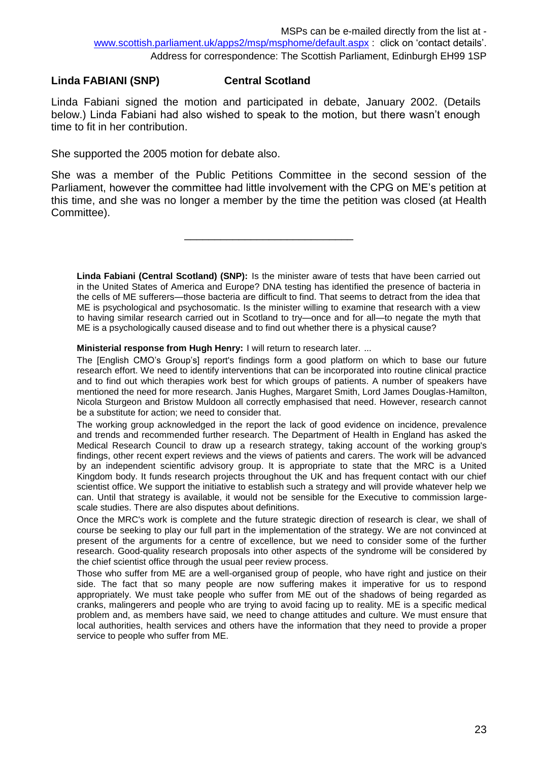### **Linda FABIANI (SNP) Central Scotland**

Linda Fabiani signed the motion and participated in debate, January 2002. (Details below.) Linda Fabiani had also wished to speak to the motion, but there wasn't enough time to fit in her contribution.

She supported the 2005 motion for debate also.

She was a member of the Public Petitions Committee in the second session of the Parliament, however the committee had little involvement with the CPG on ME's petition at this time, and she was no longer a member by the time the petition was closed (at Health Committee).

\_\_\_\_\_\_\_\_\_\_\_\_\_\_\_\_\_\_\_\_\_\_\_\_\_\_\_\_

**Linda Fabiani (Central Scotland) (SNP):** Is the minister aware of tests that have been carried out in the United States of America and Europe? DNA testing has identified the presence of bacteria in the cells of ME sufferers—those bacteria are difficult to find. That seems to detract from the idea that ME is psychological and psychosomatic. Is the minister willing to examine that research with a view to having similar research carried out in Scotland to try—once and for all—to negate the myth that ME is a psychologically caused disease and to find out whether there is a physical cause?

**Ministerial response from Hugh Henry:** I will return to research later. …

The [English CMO's Group's] report's findings form a good platform on which to base our future research effort. We need to identify interventions that can be incorporated into routine clinical practice and to find out which therapies work best for which groups of patients. A number of speakers have mentioned the need for more research. Janis Hughes, Margaret Smith, Lord James Douglas-Hamilton, Nicola Sturgeon and Bristow Muldoon all correctly emphasised that need. However, research cannot be a substitute for action; we need to consider that.

The working group acknowledged in the report the lack of good evidence on incidence, prevalence and trends and recommended further research. The Department of Health in England has asked the Medical Research Council to draw up a research strategy, taking account of the working group's findings, other recent expert reviews and the views of patients and carers. The work will be advanced by an independent scientific advisory group. It is appropriate to state that the MRC is a United Kingdom body. It funds research projects throughout the UK and has frequent contact with our chief scientist office. We support the initiative to establish such a strategy and will provide whatever help we can. Until that strategy is available, it would not be sensible for the Executive to commission largescale studies. There are also disputes about definitions.

Once the MRC's work is complete and the future strategic direction of research is clear, we shall of course be seeking to play our full part in the implementation of the strategy. We are not convinced at present of the arguments for a centre of excellence, but we need to consider some of the further research. Good-quality research proposals into other aspects of the syndrome will be considered by the chief scientist office through the usual peer review process.

Those who suffer from ME are a well-organised group of people, who have right and justice on their side. The fact that so many people are now suffering makes it imperative for us to respond appropriately. We must take people who suffer from ME out of the shadows of being regarded as cranks, malingerers and people who are trying to avoid facing up to reality. ME is a specific medical problem and, as members have said, we need to change attitudes and culture. We must ensure that local authorities, health services and others have the information that they need to provide a proper service to people who suffer from ME.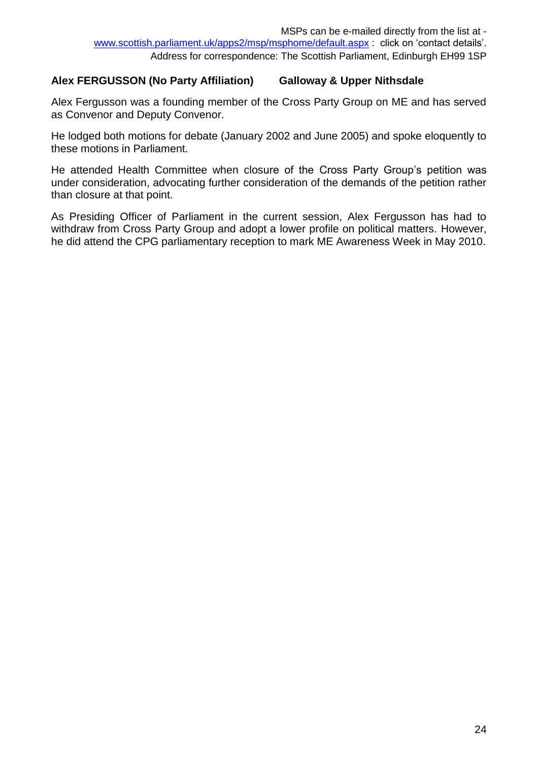### **Alex FERGUSSON (No Party Affiliation) Galloway & Upper Nithsdale**

Alex Fergusson was a founding member of the Cross Party Group on ME and has served as Convenor and Deputy Convenor.

He lodged both motions for debate (January 2002 and June 2005) and spoke eloquently to these motions in Parliament.

He attended Health Committee when closure of the Cross Party Group's petition was under consideration, advocating further consideration of the demands of the petition rather than closure at that point.

As Presiding Officer of Parliament in the current session, Alex Fergusson has had to withdraw from Cross Party Group and adopt a lower profile on political matters. However, he did attend the CPG parliamentary reception to mark ME Awareness Week in May 2010.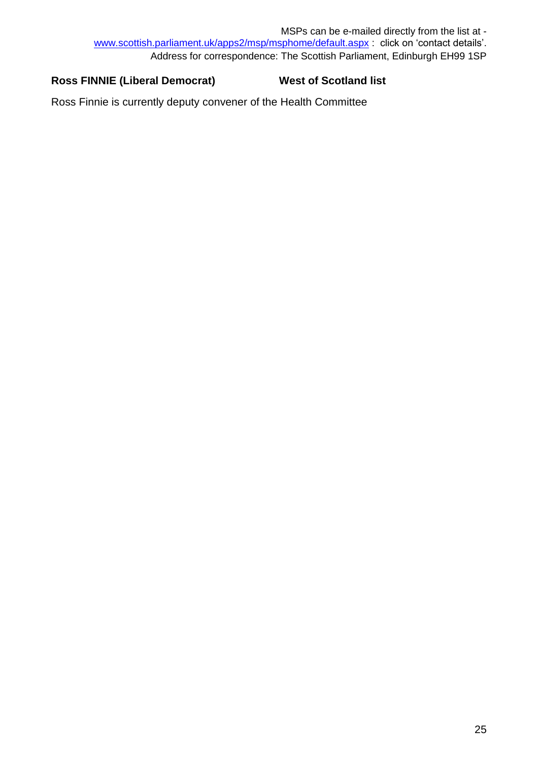## Ross FINNIE (Liberal Democrat) West of Scotland list

Ross Finnie is currently deputy convener of the Health Committee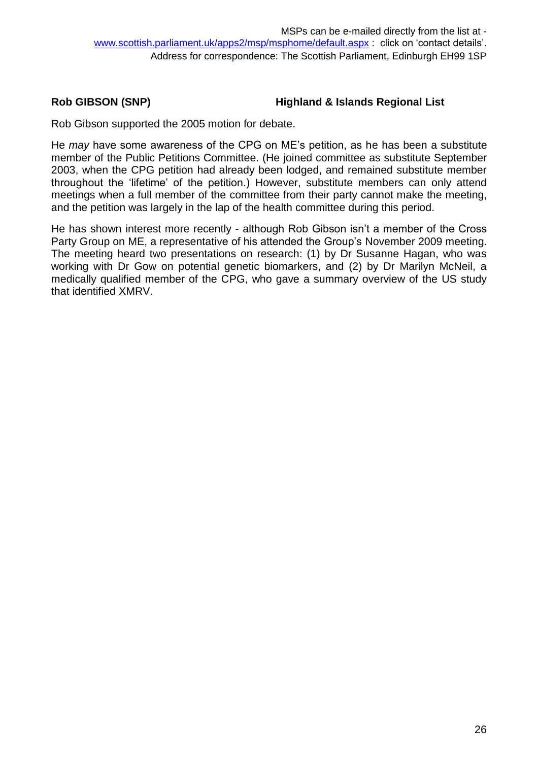## **Rob GIBSON (SNP) Highland & Islands Regional List**

Rob Gibson supported the 2005 motion for debate.

He *may* have some awareness of the CPG on ME's petition, as he has been a substitute member of the Public Petitions Committee. (He joined committee as substitute September 2003, when the CPG petition had already been lodged, and remained substitute member throughout the 'lifetime' of the petition.) However, substitute members can only attend meetings when a full member of the committee from their party cannot make the meeting, and the petition was largely in the lap of the health committee during this period.

He has shown interest more recently - although Rob Gibson isn't a member of the Cross Party Group on ME, a representative of his attended the Group's November 2009 meeting. The meeting heard two presentations on research: (1) by Dr Susanne Hagan, who was working with Dr Gow on potential genetic biomarkers, and (2) by Dr Marilyn McNeil, a medically qualified member of the CPG, who gave a summary overview of the US study that identified XMRV.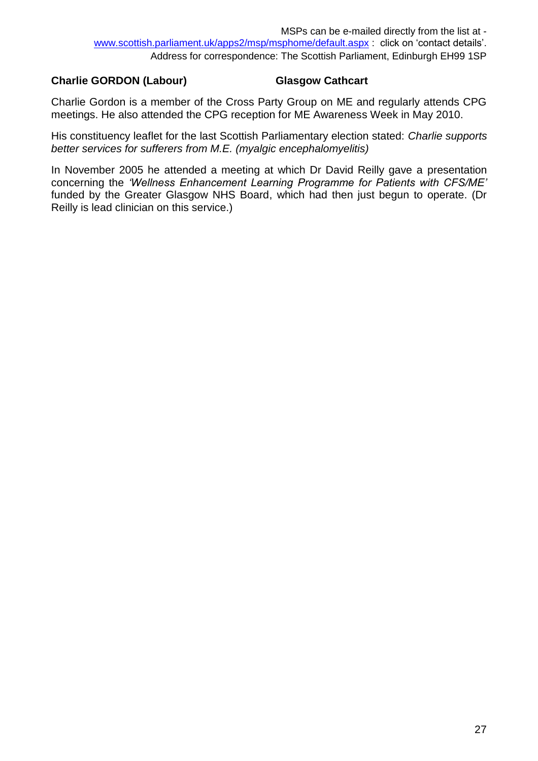### **Charlie GORDON (Labour) Glasgow Cathcart**

Charlie Gordon is a member of the Cross Party Group on ME and regularly attends CPG meetings. He also attended the CPG reception for ME Awareness Week in May 2010.

His constituency leaflet for the last Scottish Parliamentary election stated: *Charlie supports better services for sufferers from M.E. (myalgic encephalomyelitis)* 

In November 2005 he attended a meeting at which Dr David Reilly gave a presentation concerning the *'Wellness Enhancement Learning Programme for Patients with CFS/ME'* funded by the Greater Glasgow NHS Board, which had then just begun to operate. (Dr Reilly is lead clinician on this service.)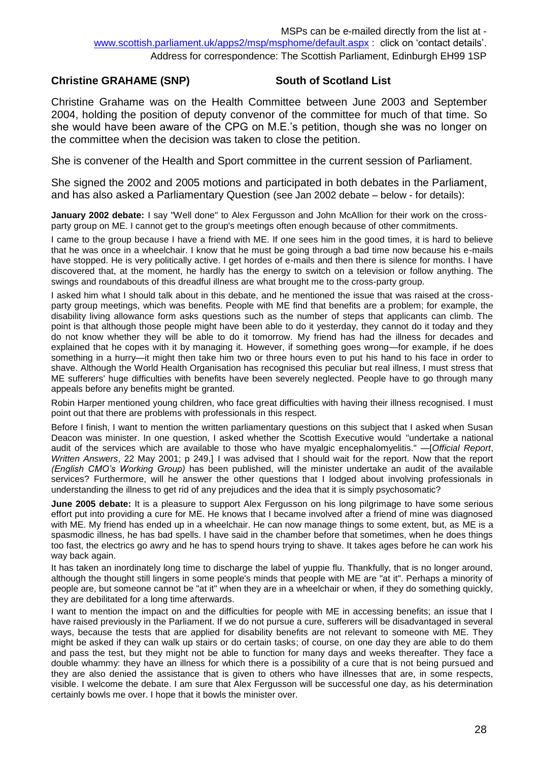#### **Christine GRAHAME (SNP) South of Scotland List**

Christine Grahame was on the Health Committee between June 2003 and September 2004, holding the position of deputy convenor of the committee for much of that time. So she would have been aware of the CPG on M.E.'s petition, though she was no longer on the committee when the decision was taken to close the petition.

She is convener of the Health and Sport committee in the current session of Parliament.

She signed the 2002 and 2005 motions and participated in both debates in the Parliament, and has also asked a Parliamentary Question (see Jan 2002 debate – below - for details):

**January 2002 debate:** I say "Well done" to Alex Fergusson and John McAllion for their work on the crossparty group on ME. I cannot get to the group's meetings often enough because of other commitments.

I came to the group because I have a friend with ME. If one sees him in the good times, it is hard to believe that he was once in a wheelchair. I know that he must be going through a bad time now because his e-mails have stopped. He is very politically active. I get hordes of e-mails and then there is silence for months. I have discovered that, at the moment, he hardly has the energy to switch on a television or follow anything. The swings and roundabouts of this dreadful illness are what brought me to the cross-party group.

I asked him what I should talk about in this debate, and he mentioned the issue that was raised at the crossparty group meetings, which was benefits. People with ME find that benefits are a problem; for example, the disability living allowance form asks questions such as the number of steps that applicants can climb. The point is that although those people might have been able to do it yesterday, they cannot do it today and they do not know whether they will be able to do it tomorrow. My friend has had the illness for decades and explained that he copes with it by managing it. However, if something goes wrong—for example, if he does something in a hurry—it might then take him two or three hours even to put his hand to his face in order to shave. Although the World Health Organisation has recognised this peculiar but real illness, I must stress that ME sufferers' huge difficulties with benefits have been severely neglected. People have to go through many appeals before any benefits might be granted.

Robin Harper mentioned young children, who face great difficulties with having their illness recognised. I must point out that there are problems with professionals in this respect.

Before I finish, I want to mention the written parliamentary questions on this subject that I asked when Susan Deacon was minister. In one question, I asked whether the Scottish Executive would "undertake a national audit of the services which are available to those who have myalgic encephalomyelitis." —[*Official Report*, *Written Answers*, 22 May 2001; p 249.] I was advised that I should wait for the report. Now that the report *(English CMO's Working Group)* has been published, will the minister undertake an audit of the available services? Furthermore, will he answer the other questions that I lodged about involving professionals in understanding the illness to get rid of any prejudices and the idea that it is simply psychosomatic?

**June 2005 debate:** It is a pleasure to support Alex Fergusson on his long pilgrimage to have some serious effort put into providing a cure for ME. He knows that I became involved after a friend of mine was diagnosed with ME. My friend has ended up in a wheelchair. He can now manage things to some extent, but, as ME is a spasmodic illness, he has bad spells. I have said in the chamber before that sometimes, when he does things too fast, the electrics go awry and he has to spend hours trying to shave. It takes ages before he can work his way back again.

It has taken an inordinately long time to discharge the label of yuppie flu. Thankfully, that is no longer around, although the thought still lingers in some people's minds that people with ME are "at it". Perhaps a minority of people are, but someone cannot be "at it" when they are in a wheelchair or when, if they do something quickly, they are debilitated for a long time afterwards.

I want to mention the impact on and the difficulties for people with ME in accessing benefits; an issue that I have raised previously in the Parliament. If we do not pursue a cure, sufferers will be disadvantaged in several ways, because the tests that are applied for disability benefits are not relevant to someone with ME. They might be asked if they can walk up stairs or do certain tasks; of course, on one day they are able to do them and pass the test, but they might not be able to function for many days and weeks thereafter. They face a double whammy: they have an illness for which there is a possibility of a cure that is not being pursued and they are also denied the assistance that is given to others who have illnesses that are, in some respects, visible. I welcome the debate. I am sure that Alex Fergusson will be successful one day, as his determination certainly bowls me over. I hope that it bowls the minister over.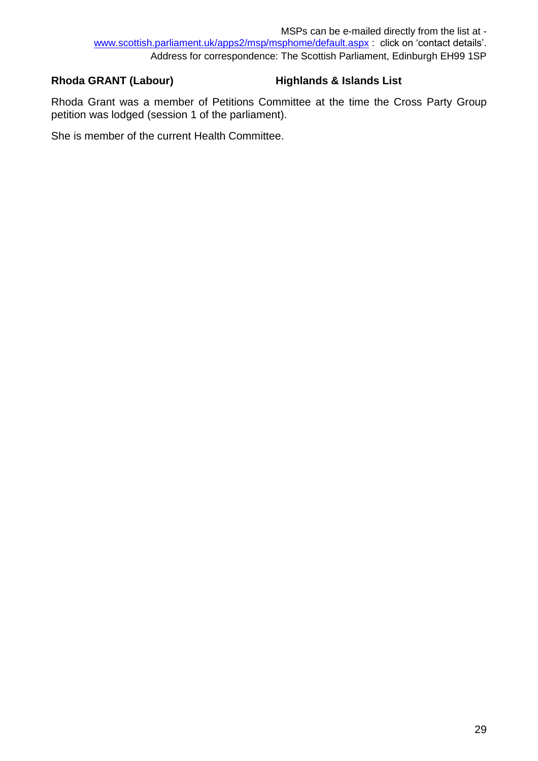## **Rhoda GRANT (Labour) Highlands & Islands List**

Rhoda Grant was a member of Petitions Committee at the time the Cross Party Group petition was lodged (session 1 of the parliament).

She is member of the current Health Committee.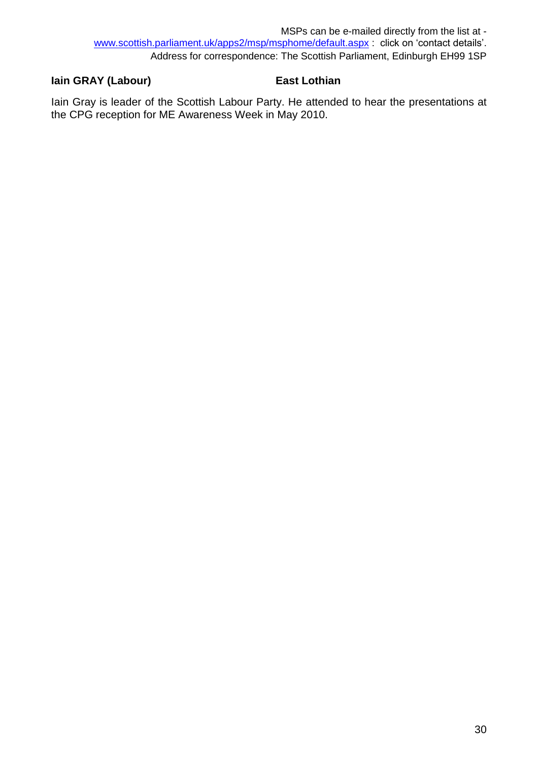## **Iain GRAY (Labour) East Lothian**

Iain Gray is leader of the Scottish Labour Party. He attended to hear the presentations at the CPG reception for ME Awareness Week in May 2010.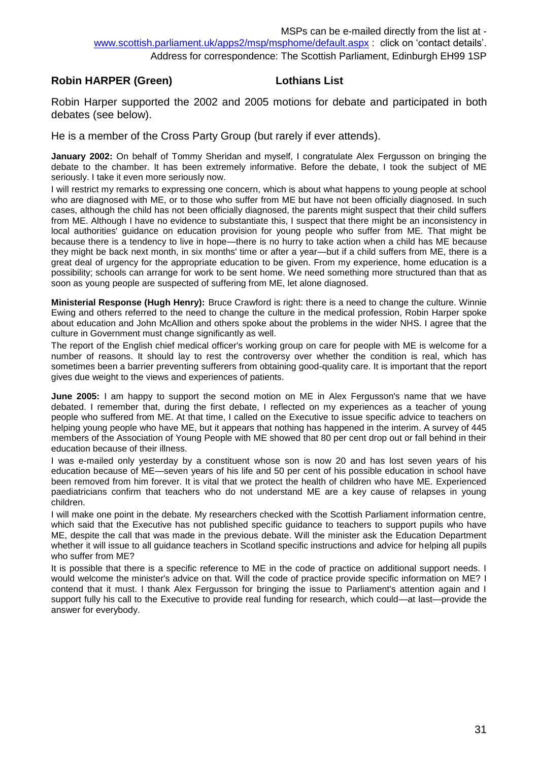#### **Robin HARPER (Green) Lothians List**

Robin Harper supported the 2002 and 2005 motions for debate and participated in both debates (see below).

He is a member of the Cross Party Group (but rarely if ever attends).

**January 2002:** On behalf of Tommy Sheridan and myself, I congratulate Alex Fergusson on bringing the debate to the chamber. It has been extremely informative. Before the debate, I took the subject of ME seriously. I take it even more seriously now.

I will restrict my remarks to expressing one concern, which is about what happens to young people at school who are diagnosed with ME, or to those who suffer from ME but have not been officially diagnosed. In such cases, although the child has not been officially diagnosed, the parents might suspect that their child suffers from ME. Although I have no evidence to substantiate this, I suspect that there might be an inconsistency in local authorities' guidance on education provision for young people who suffer from ME. That might be because there is a tendency to live in hope—there is no hurry to take action when a child has ME because they might be back next month, in six months' time or after a year—but if a child suffers from ME, there is a great deal of urgency for the appropriate education to be given. From my experience, home education is a possibility; schools can arrange for work to be sent home. We need something more structured than that as soon as young people are suspected of suffering from ME, let alone diagnosed.

**Ministerial Response (Hugh Henry):** Bruce Crawford is right: there is a need to change the culture. Winnie Ewing and others referred to the need to change the culture in the medical profession, Robin Harper spoke about education and John McAllion and others spoke about the problems in the wider NHS. I agree that the culture in Government must change significantly as well.

The report of the English chief medical officer's working group on care for people with ME is welcome for a number of reasons. It should lay to rest the controversy over whether the condition is real, which has sometimes been a barrier preventing sufferers from obtaining good-quality care. It is important that the report gives due weight to the views and experiences of patients.

**June 2005:** I am happy to support the second motion on ME in Alex Fergusson's name that we have debated. I remember that, during the first debate, I reflected on my experiences as a teacher of young people who suffered from ME. At that time, I called on the Executive to issue specific advice to teachers on helping young people who have ME, but it appears that nothing has happened in the interim. A survey of 445 members of the Association of Young People with ME showed that 80 per cent drop out or fall behind in their education because of their illness.

I was e-mailed only yesterday by a constituent whose son is now 20 and has lost seven years of his education because of ME—seven years of his life and 50 per cent of his possible education in school have been removed from him forever. It is vital that we protect the health of children who have ME. Experienced paediatricians confirm that teachers who do not understand ME are a key cause of relapses in young children.

I will make one point in the debate. My researchers checked with the Scottish Parliament information centre, which said that the Executive has not published specific guidance to teachers to support pupils who have ME, despite the call that was made in the previous debate. Will the minister ask the Education Department whether it will issue to all guidance teachers in Scotland specific instructions and advice for helping all pupils who suffer from ME?

It is possible that there is a specific reference to ME in the code of practice on additional support needs. I would welcome the minister's advice on that. Will the code of practice provide specific information on ME? I contend that it must. I thank Alex Fergusson for bringing the issue to Parliament's attention again and I support fully his call to the Executive to provide real funding for research, which could—at last—provide the answer for everybody.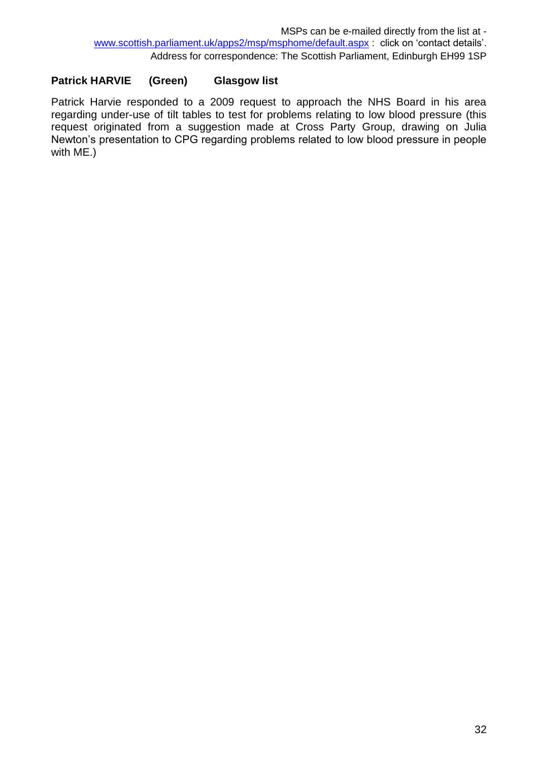## **Patrick HARVIE (Green) Glasgow list**

Patrick Harvie responded to a 2009 request to approach the NHS Board in his area regarding under-use of tilt tables to test for problems relating to low blood pressure (this request originated from a suggestion made at Cross Party Group, drawing on Julia Newton's presentation to CPG regarding problems related to low blood pressure in people with ME.)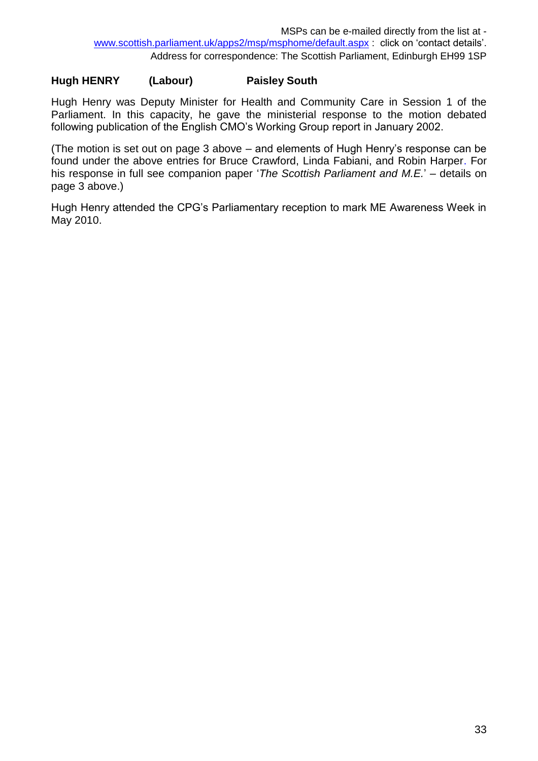## **Hugh HENRY (Labour) Paisley South**

Hugh Henry was Deputy Minister for Health and Community Care in Session 1 of the Parliament. In this capacity, he gave the ministerial response to the motion debated following publication of the English CMO's Working Group report in January 2002.

(The motion is set out on page 3 above – and elements of Hugh Henry's response can be found under the above entries for Bruce Crawford, Linda Fabiani, and Robin Harper. For his response in full see companion paper '*The Scottish Parliament and M.E.*' – details on page 3 above.)

Hugh Henry attended the CPG's Parliamentary reception to mark ME Awareness Week in May 2010.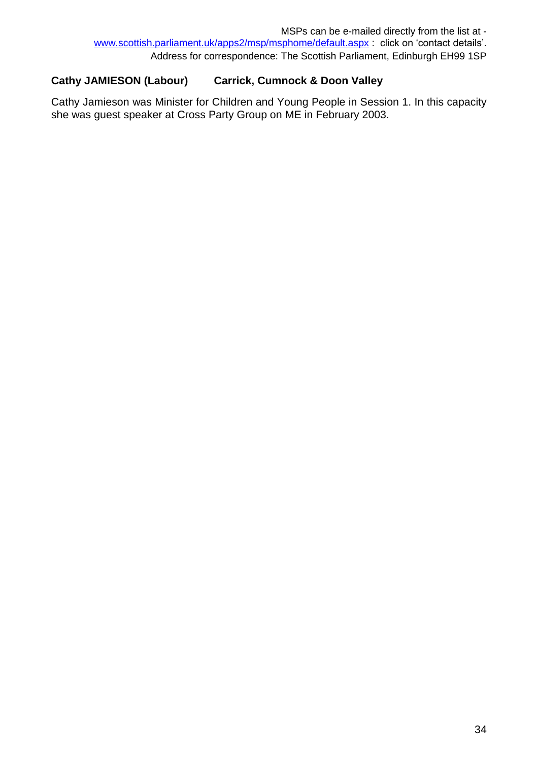## **Cathy JAMIESON (Labour) Carrick, Cumnock & Doon Valley**

Cathy Jamieson was Minister for Children and Young People in Session 1. In this capacity she was guest speaker at Cross Party Group on ME in February 2003.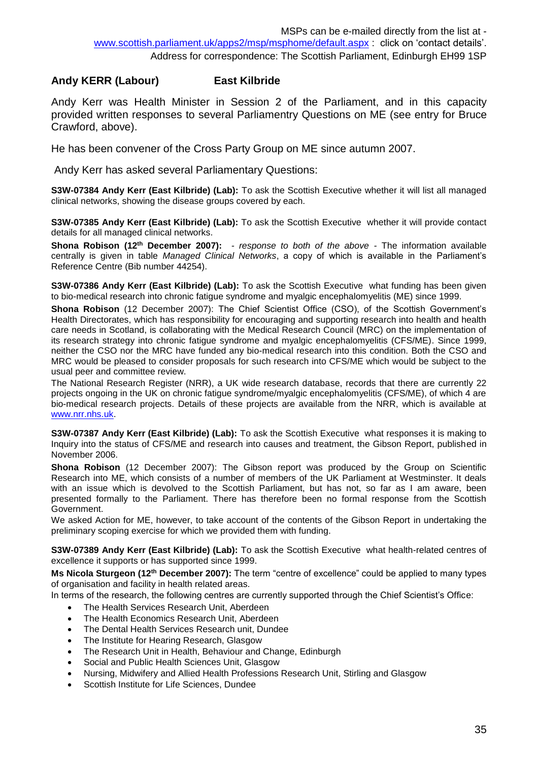#### **Andy KERR (Labour) East Kilbride**

Andy Kerr was Health Minister in Session 2 of the Parliament, and in this capacity provided written responses to several Parliamentry Questions on ME (see entry for Bruce Crawford, above).

He has been convener of the Cross Party Group on ME since autumn 2007.

Andy Kerr has asked several Parliamentary Questions:

**S3W-07384 Andy Kerr (East Kilbride) (Lab):** To ask the Scottish Executive whether it will list all managed clinical networks, showing the disease groups covered by each.

**S3W-07385 Andy Kerr (East Kilbride) (Lab):** To ask the Scottish Executive whether it will provide contact details for all managed clinical networks.

**Shona Robison (12th December 2007):** *- response to both of the above -* The information available centrally is given in table *Managed Clinical Networks*, a copy of which is available in the Parliament's Reference Centre (Bib number 44254).

**S3W-07386 Andy Kerr (East Kilbride) (Lab):** To ask the Scottish Executive what funding has been given to bio-medical research into chronic fatigue syndrome and myalgic encephalomyelitis (ME) since 1999.

**Shona Robison** (12 December 2007): The Chief Scientist Office (CSO), of the Scottish Government's Health Directorates, which has responsibility for encouraging and supporting research into health and health care needs in Scotland, is collaborating with the Medical Research Council (MRC) on the implementation of its research strategy into chronic fatigue syndrome and myalgic encephalomyelitis (CFS/ME). Since 1999, neither the CSO nor the MRC have funded any bio-medical research into this condition. Both the CSO and MRC would be pleased to consider proposals for such research into CFS/ME which would be subject to the usual peer and committee review.

The National Research Register (NRR), a UK wide research database, records that there are currently 22 projects ongoing in the UK on chronic fatigue syndrome/myalgic encephalomyelitis (CFS/ME), of which 4 are bio-medical research projects. Details of these projects are available from the NRR, which is available at [www.nrr.nhs.uk.](http://www.nrr.nhs.uk/)

**S3W-07387 Andy Kerr (East Kilbride) (Lab):** To ask the Scottish Executive what responses it is making to Inquiry into the status of CFS/ME and research into causes and treatment, the Gibson Report, published in November 2006.

**Shona Robison** (12 December 2007): The Gibson report was produced by the Group on Scientific Research into ME, which consists of a number of members of the UK Parliament at Westminster. It deals with an issue which is devolved to the Scottish Parliament, but has not, so far as I am aware, been presented formally to the Parliament. There has therefore been no formal response from the Scottish Government.

We asked Action for ME, however, to take account of the contents of the Gibson Report in undertaking the preliminary scoping exercise for which we provided them with funding.

**S3W-07389 Andy Kerr (East Kilbride) (Lab):** To ask the Scottish Executive what health-related centres of excellence it supports or has supported since 1999.

**Ms Nicola Sturgeon (12th December 2007):** The term "centre of excellence" could be applied to many types of organisation and facility in health related areas.

In terms of the research, the following centres are currently supported through the Chief Scientist's Office:

- The Health Services Research Unit, Aberdeen
- The Health Economics Research Unit, Aberdeen
- The Dental Health Services Research unit, Dundee
- The Institute for Hearing Research, Glasgow
- The Research Unit in Health, Behaviour and Change, Edinburgh
- Social and Public Health Sciences Unit, Glasgow
- Nursing, Midwifery and Allied Health Professions Research Unit, Stirling and Glasgow
- Scottish Institute for Life Sciences, Dundee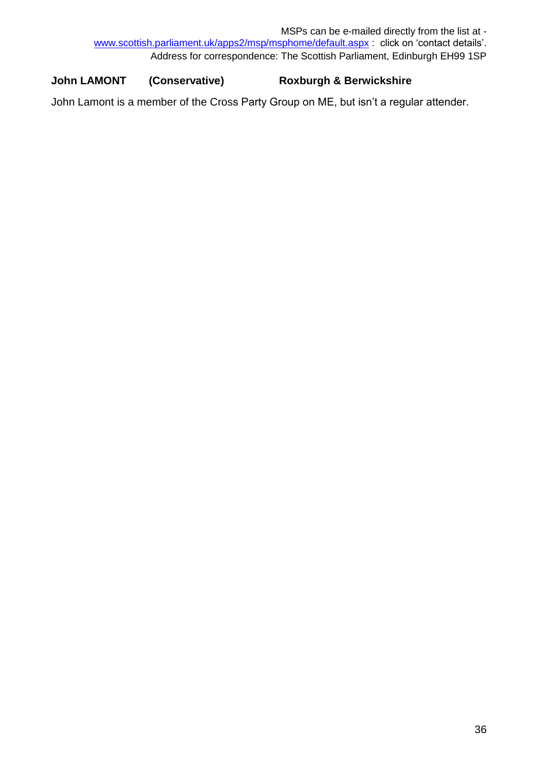MSPs can be e-mailed directly from the list at [www.scottish.parliament.uk/apps2/msp/msphome/default.aspx](http://www.scottish.parliament.uk/apps2/msp/msphome/default.aspx) : click on 'contact details'. Address for correspondence: The Scottish Parliament, Edinburgh EH99 1SP

## **John LAMONT (Conservative) Roxburgh & Berwickshire**

John Lamont is a member of the Cross Party Group on ME, but isn't a regular attender.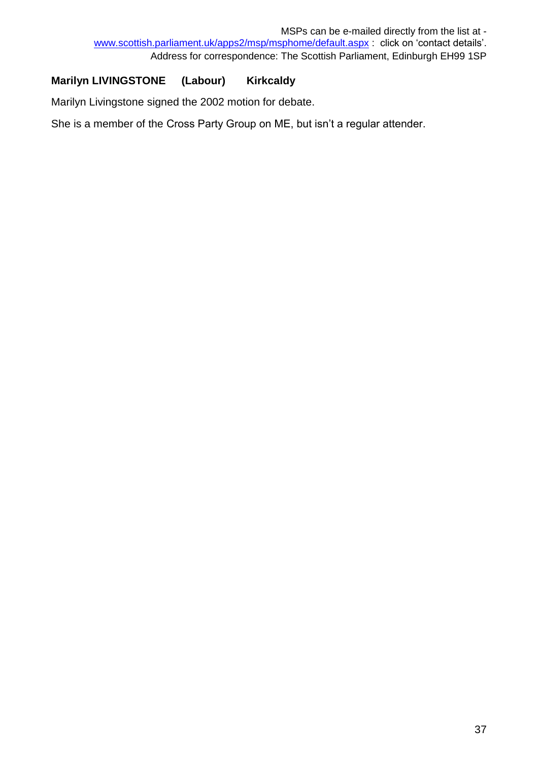## **Marilyn LIVINGSTONE (Labour) Kirkcaldy**

Marilyn Livingstone signed the 2002 motion for debate.

She is a member of the Cross Party Group on ME, but isn't a regular attender.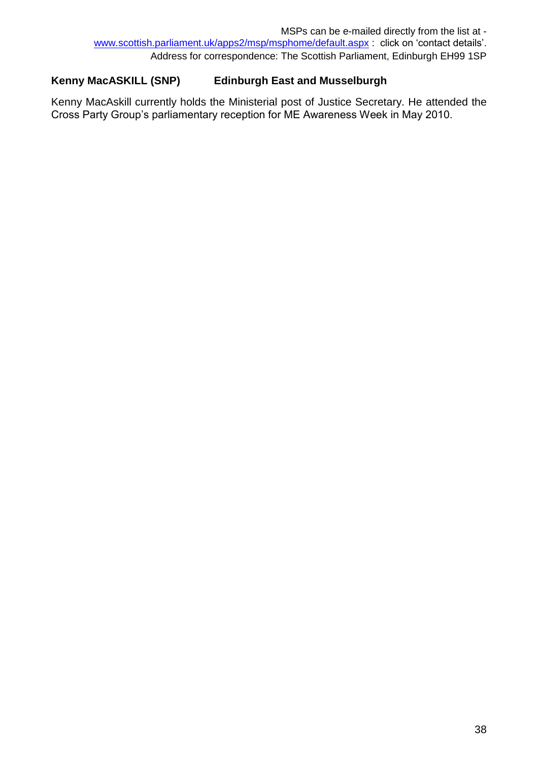## **Kenny MacASKILL (SNP) Edinburgh East and Musselburgh**

Kenny MacAskill currently holds the Ministerial post of Justice Secretary. He attended the Cross Party Group's parliamentary reception for ME Awareness Week in May 2010.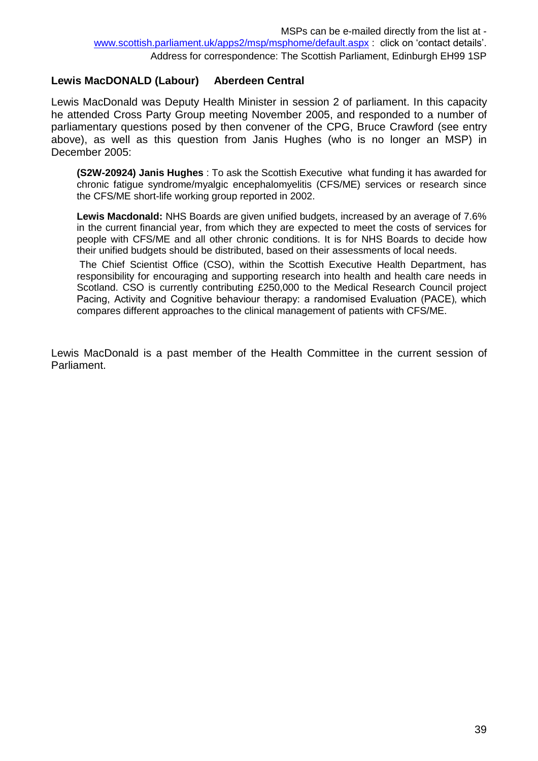### **Lewis MacDONALD (Labour) Aberdeen Central**

Lewis MacDonald was Deputy Health Minister in session 2 of parliament. In this capacity he attended Cross Party Group meeting November 2005, and responded to a number of parliamentary questions posed by then convener of the CPG, Bruce Crawford (see entry above), as well as this question from Janis Hughes (who is no longer an MSP) in December 2005:

**(S2W-20924) Janis Hughes** : To ask the Scottish Executive what funding it has awarded for chronic fatigue syndrome/myalgic encephalomyelitis (CFS/ME) services or research since the CFS/ME short-life working group reported in 2002.

**Lewis Macdonald:** NHS Boards are given unified budgets, increased by an average of 7.6% in the current financial year, from which they are expected to meet the costs of services for people with CFS/ME and all other chronic conditions. It is for NHS Boards to decide how their unified budgets should be distributed, based on their assessments of local needs.

The Chief Scientist Office (CSO), within the Scottish Executive Health Department, has responsibility for encouraging and supporting research into health and health care needs in Scotland. CSO is currently contributing £250,000 to the Medical Research Council project Pacing, Activity and Cognitive behaviour therapy: a randomised Evaluation (PACE), which compares different approaches to the clinical management of patients with CFS/ME.

Lewis MacDonald is a past member of the Health Committee in the current session of Parliament.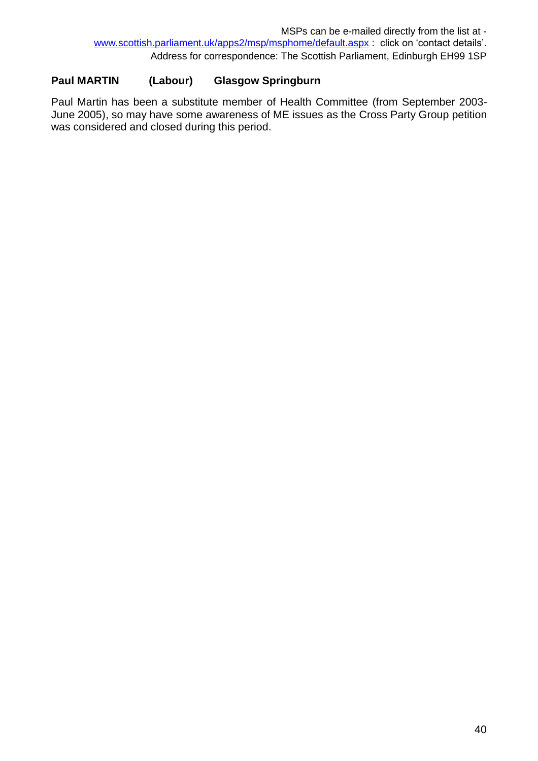## **Paul MARTIN (Labour) Glasgow Springburn**

Paul Martin has been a substitute member of Health Committee (from September 2003- June 2005), so may have some awareness of ME issues as the Cross Party Group petition was considered and closed during this period.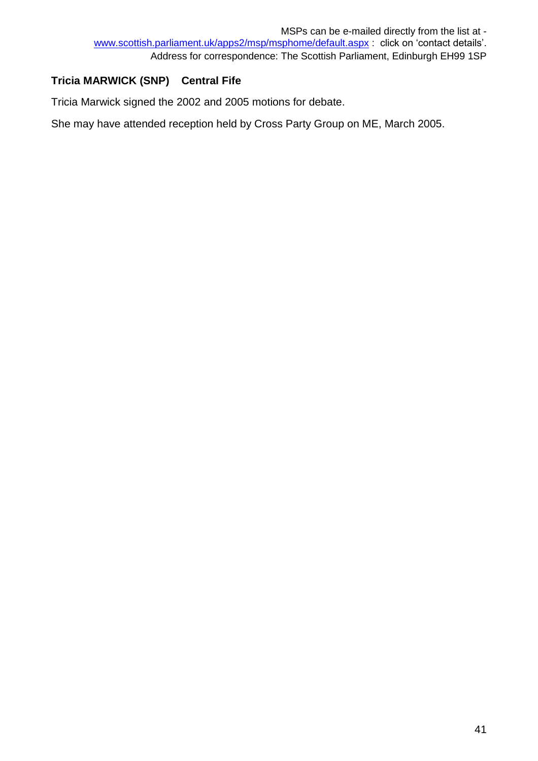## **Tricia MARWICK (SNP) Central Fife**

Tricia Marwick signed the 2002 and 2005 motions for debate.

She may have attended reception held by Cross Party Group on ME, March 2005.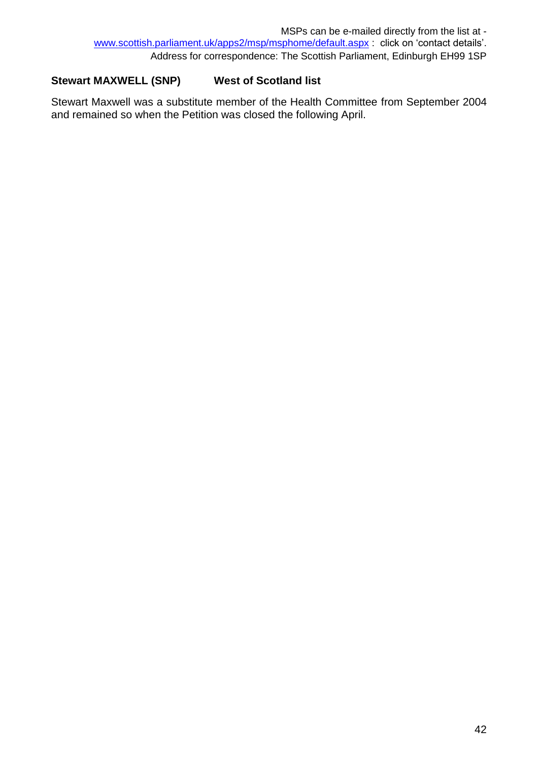## **Stewart MAXWELL (SNP) West of Scotland list**

Stewart Maxwell was a substitute member of the Health Committee from September 2004 and remained so when the Petition was closed the following April.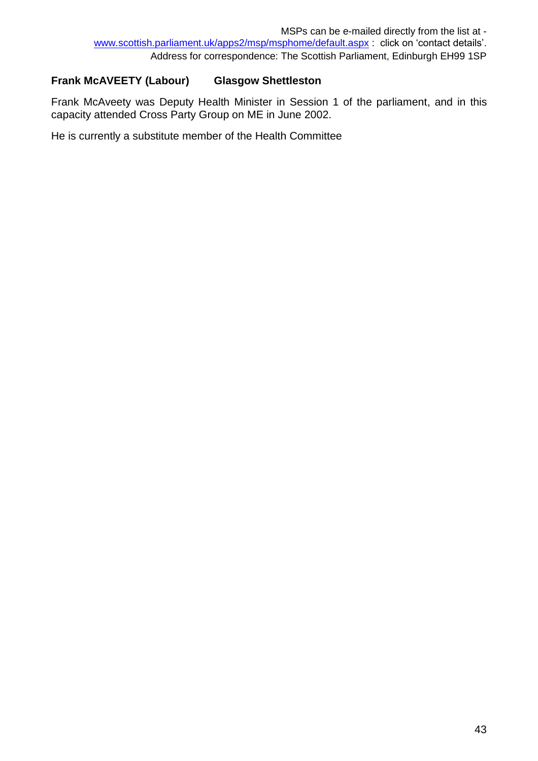## **Frank McAVEETY (Labour) Glasgow Shettleston**

Frank McAveety was Deputy Health Minister in Session 1 of the parliament, and in this capacity attended Cross Party Group on ME in June 2002.

He is currently a substitute member of the Health Committee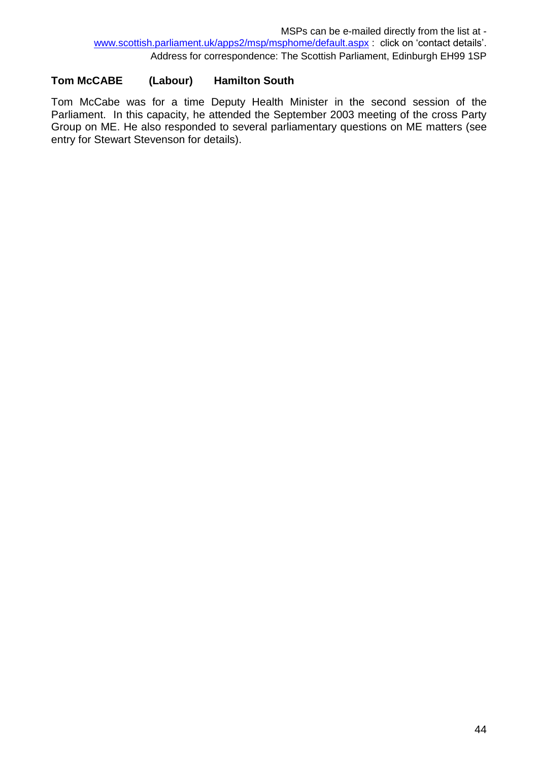## **Tom McCABE (Labour) Hamilton South**

Tom McCabe was for a time Deputy Health Minister in the second session of the Parliament. In this capacity, he attended the September 2003 meeting of the cross Party Group on ME. He also responded to several parliamentary questions on ME matters (see entry for Stewart Stevenson for details).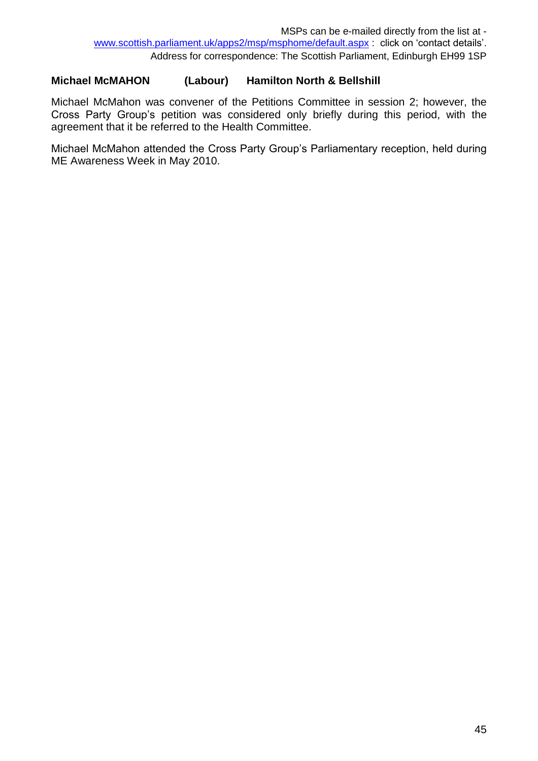## **Michael McMAHON (Labour) Hamilton North & Bellshill**

Michael McMahon was convener of the Petitions Committee in session 2; however, the Cross Party Group's petition was considered only briefly during this period, with the agreement that it be referred to the Health Committee.

Michael McMahon attended the Cross Party Group's Parliamentary reception, held during ME Awareness Week in May 2010.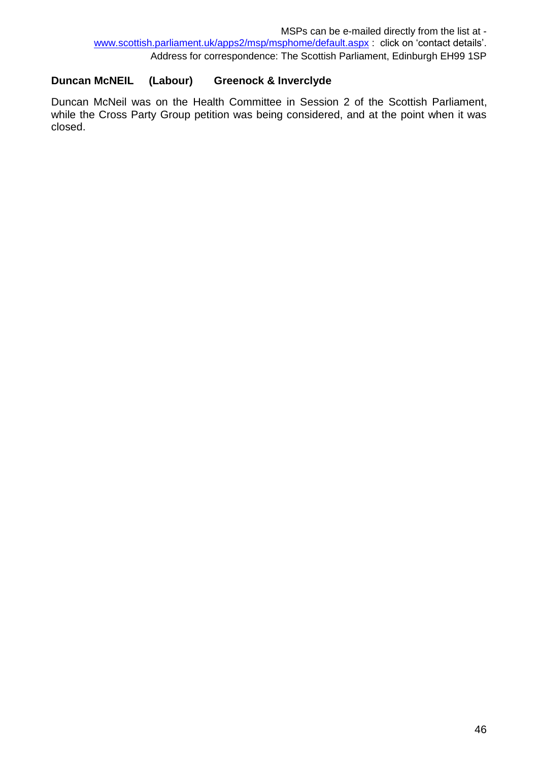## **Duncan McNEIL (Labour) Greenock & Inverclyde**

Duncan McNeil was on the Health Committee in Session 2 of the Scottish Parliament, while the Cross Party Group petition was being considered, and at the point when it was closed.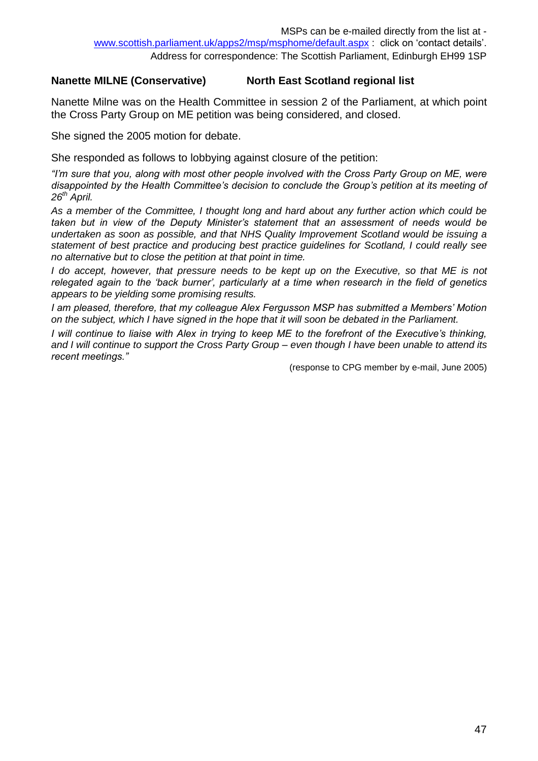### **Nanette MILNE (Conservative) North East Scotland regional list**

Nanette Milne was on the Health Committee in session 2 of the Parliament, at which point the Cross Party Group on ME petition was being considered, and closed.

She signed the 2005 motion for debate.

She responded as follows to lobbying against closure of the petition:

*"I'm sure that you, along with most other people involved with the Cross Party Group on ME, were disappointed by the Health Committee's decision to conclude the Group's petition at its meeting of 26th April.*

*As a member of the Committee, I thought long and hard about any further action which could be taken but in view of the Deputy Minister's statement that an assessment of needs would be undertaken as soon as possible, and that NHS Quality Improvement Scotland would be issuing a statement of best practice and producing best practice guidelines for Scotland, I could really see no alternative but to close the petition at that point in time.*

*I* do accept, however, that pressure needs to be kept up on the Executive, so that ME is not *relegated again to the 'back burner', particularly at a time when research in the field of genetics appears to be yielding some promising results.*

*I am pleased, therefore, that my colleague Alex Fergusson MSP has submitted a Members' Motion on the subject, which I have signed in the hope that it will soon be debated in the Parliament.*

*I will continue to liaise with Alex in trying to keep ME to the forefront of the Executive's thinking, and I will continue to support the Cross Party Group – even though I have been unable to attend its recent meetings."*

(response to CPG member by e-mail, June 2005)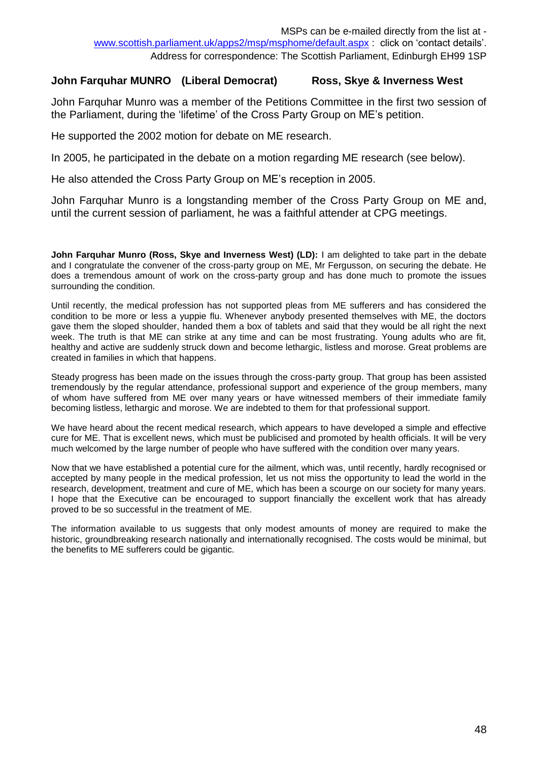### **John Farquhar MUNRO (Liberal Democrat) Ross, Skye & Inverness West**

John Farquhar Munro was a member of the Petitions Committee in the first two session of the Parliament, during the 'lifetime' of the Cross Party Group on ME's petition.

He supported the 2002 motion for debate on ME research.

In 2005, he participated in the debate on a motion regarding ME research (see below).

He also attended the Cross Party Group on ME's reception in 2005.

John Farquhar Munro is a longstanding member of the Cross Party Group on ME and, until the current session of parliament, he was a faithful attender at CPG meetings.

**John Farquhar Munro (Ross, Skye and Inverness West) (LD):** I am delighted to take part in the debate and I congratulate the convener of the cross-party group on ME, Mr Fergusson, on securing the debate. He does a tremendous amount of work on the cross-party group and has done much to promote the issues surrounding the condition.

Until recently, the medical profession has not supported pleas from ME sufferers and has considered the condition to be more or less a yuppie flu. Whenever anybody presented themselves with ME, the doctors gave them the sloped shoulder, handed them a box of tablets and said that they would be all right the next week. The truth is that ME can strike at any time and can be most frustrating. Young adults who are fit, healthy and active are suddenly struck down and become lethargic, listless and morose. Great problems are created in families in which that happens.

Steady progress has been made on the issues through the cross-party group. That group has been assisted tremendously by the regular attendance, professional support and experience of the group members, many of whom have suffered from ME over many years or have witnessed members of their immediate family becoming listless, lethargic and morose. We are indebted to them for that professional support.

We have heard about the recent medical research, which appears to have developed a simple and effective cure for ME. That is excellent news, which must be publicised and promoted by health officials. It will be very much welcomed by the large number of people who have suffered with the condition over many years.

Now that we have established a potential cure for the ailment, which was, until recently, hardly recognised or accepted by many people in the medical profession, let us not miss the opportunity to lead the world in the research, development, treatment and cure of ME, which has been a scourge on our society for many years. I hope that the Executive can be encouraged to support financially the excellent work that has already proved to be so successful in the treatment of ME.

The information available to us suggests that only modest amounts of money are required to make the historic, groundbreaking research nationally and internationally recognised. The costs would be minimal, but the benefits to ME sufferers could be gigantic.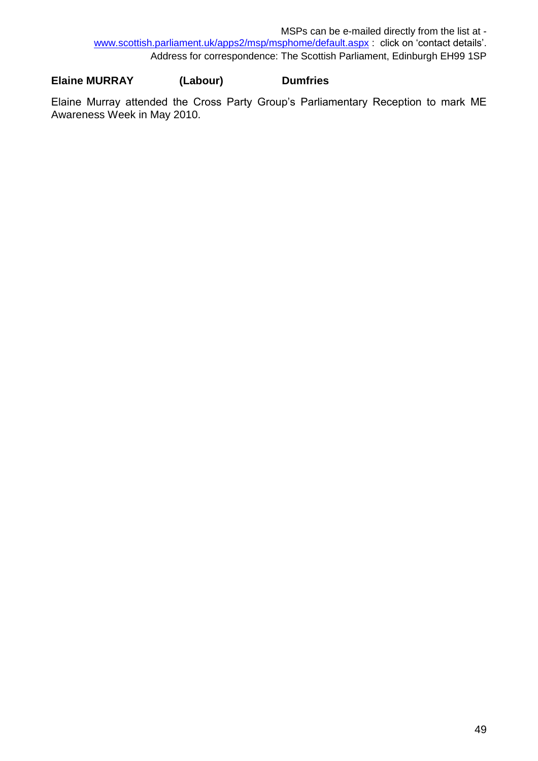## **Elaine MURRAY (Labour) Dumfries**

Elaine Murray attended the Cross Party Group's Parliamentary Reception to mark ME Awareness Week in May 2010.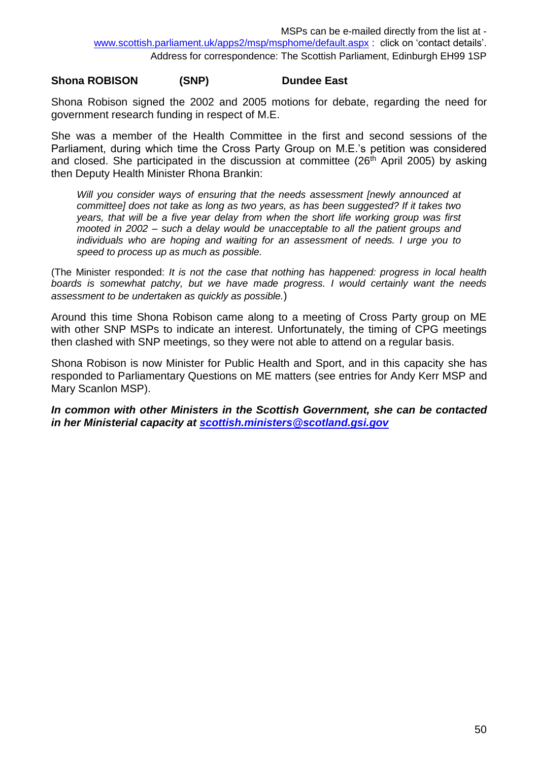### **Shona ROBISON (SNP) Dundee East**

Shona Robison signed the 2002 and 2005 motions for debate, regarding the need for government research funding in respect of M.E.

She was a member of the Health Committee in the first and second sessions of the Parliament, during which time the Cross Party Group on M.E.'s petition was considered and closed. She participated in the discussion at committee  $(26<sup>th</sup>$  April 2005) by asking then Deputy Health Minister Rhona Brankin:

*Will you consider ways of ensuring that the needs assessment [newly announced at committee] does not take as long as two years, as has been suggested? If it takes two years, that will be a five year delay from when the short life working group was first mooted in 2002 – such a delay would be unacceptable to all the patient groups and individuals who are hoping and waiting for an assessment of needs. I urge you to speed to process up as much as possible.*

(The Minister responded: *It is not the case that nothing has happened: progress in local health boards is somewhat patchy, but we have made progress. I would certainly want the needs assessment to be undertaken as quickly as possible.*)

Around this time Shona Robison came along to a meeting of Cross Party group on ME with other SNP MSPs to indicate an interest. Unfortunately, the timing of CPG meetings then clashed with SNP meetings, so they were not able to attend on a regular basis.

Shona Robison is now Minister for Public Health and Sport, and in this capacity she has responded to Parliamentary Questions on ME matters (see entries for Andy Kerr MSP and Mary Scanlon MSP).

*In common with other Ministers in the Scottish Government, she can be contacted in her Ministerial capacity at [scottish.ministers@scotland.gsi.gov](mailto:scottish.ministers@scotland.gsi.gov)*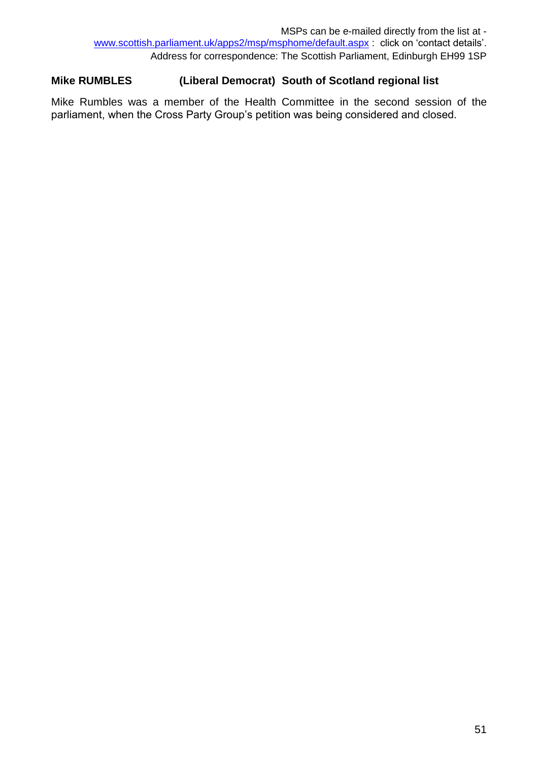## **Mike RUMBLES (Liberal Democrat) South of Scotland regional list**

Mike Rumbles was a member of the Health Committee in the second session of the parliament, when the Cross Party Group's petition was being considered and closed.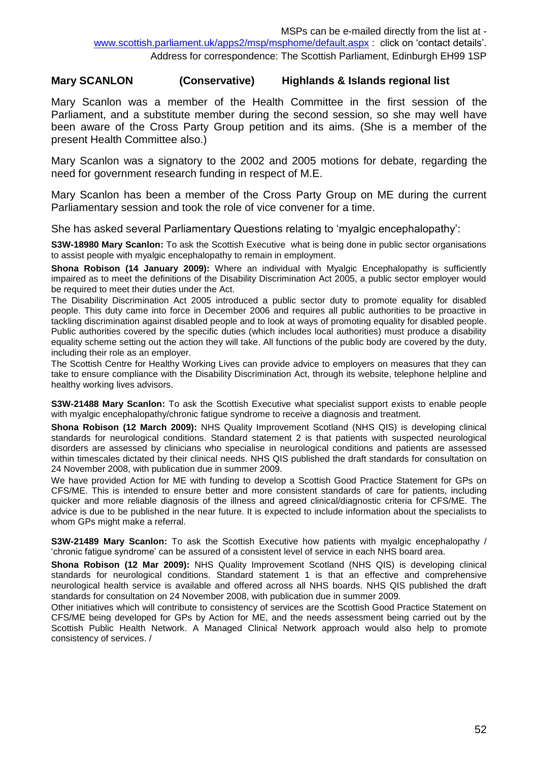#### **Mary SCANLON (Conservative) Highlands & Islands regional list**

Mary Scanlon was a member of the Health Committee in the first session of the Parliament, and a substitute member during the second session, so she may well have been aware of the Cross Party Group petition and its aims. (She is a member of the present Health Committee also.)

Mary Scanlon was a signatory to the 2002 and 2005 motions for debate, regarding the need for government research funding in respect of M.E.

Mary Scanlon has been a member of the Cross Party Group on ME during the current Parliamentary session and took the role of vice convener for a time.

She has asked several Parliamentary Questions relating to 'myalgic encephalopathy':

**S3W-18980 Mary Scanlon:** To ask the Scottish Executive what is being done in public sector organisations to assist people with myalgic encephalopathy to remain in employment.

**Shona Robison (14 January 2009):** Where an individual with Myalgic Encephalopathy is sufficiently impaired as to meet the definitions of the Disability Discrimination Act 2005, a public sector employer would be required to meet their duties under the Act.

The Disability Discrimination Act 2005 introduced a public sector duty to promote equality for disabled people. This duty came into force in December 2006 and requires all public authorities to be proactive in tackling discrimination against disabled people and to look at ways of promoting equality for disabled people. Public authorities covered by the specific duties (which includes local authorities) must produce a disability equality scheme setting out the action they will take. All functions of the public body are covered by the duty, including their role as an employer.

The Scottish Centre for Healthy Working Lives can provide advice to employers on measures that they can take to ensure compliance with the Disability Discrimination Act, through its website, telephone helpline and healthy working lives advisors.

**S3W-21488 Mary Scanlon:** To ask the Scottish Executive what specialist support exists to enable people with myalgic encephalopathy/chronic fatigue syndrome to receive a diagnosis and treatment.

**Shona Robison (12 March 2009):** NHS Quality Improvement Scotland (NHS QIS) is developing clinical standards for neurological conditions. Standard statement 2 is that patients with suspected neurological disorders are assessed by clinicians who specialise in neurological conditions and patients are assessed within timescales dictated by their clinical needs. NHS QIS published the draft standards for consultation on 24 November 2008, with publication due in summer 2009.

We have provided Action for ME with funding to develop a Scottish Good Practice Statement for GPs on CFS/ME. This is intended to ensure better and more consistent standards of care for patients, including quicker and more reliable diagnosis of the illness and agreed clinical/diagnostic criteria for CFS/ME. The advice is due to be published in the near future. It is expected to include information about the specialists to whom GPs might make a referral.

**S3W-21489 Mary Scanlon:** To ask the Scottish Executive how patients with myalgic encephalopathy / 'chronic fatigue syndrome' can be assured of a consistent level of service in each NHS board area.

**Shona Robison (12 Mar 2009):** NHS Quality Improvement Scotland (NHS QIS) is developing clinical standards for neurological conditions. Standard statement 1 is that an effective and comprehensive neurological health service is available and offered across all NHS boards. NHS QIS published the draft standards for consultation on 24 November 2008, with publication due in summer 2009.

Other initiatives which will contribute to consistency of services are the Scottish Good Practice Statement on CFS/ME being developed for GPs by Action for ME, and the needs assessment being carried out by the Scottish Public Health Network. A Managed Clinical Network approach would also help to promote consistency of services. /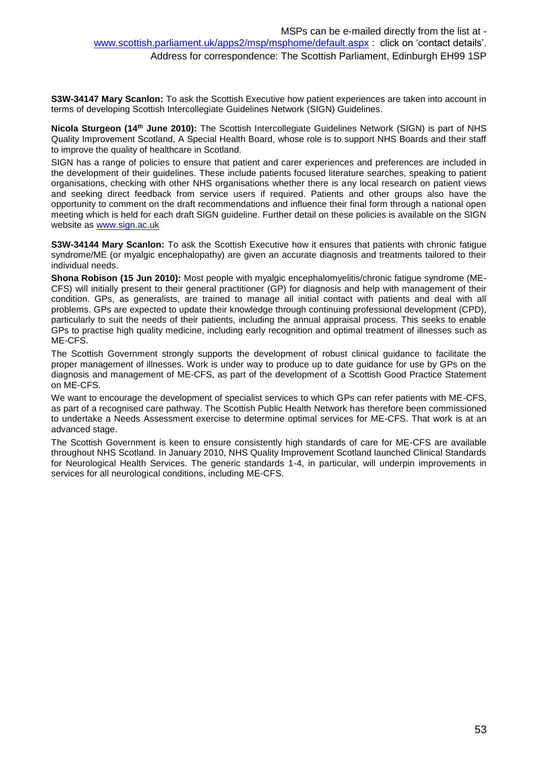**S3W-34147 Mary Scanlon:** To ask the Scottish Executive how patient experiences are taken into account in terms of developing Scottish Intercollegiate Guidelines Network (SIGN) Guidelines.

**Nicola Sturgeon (14th June 2010):** The Scottish Intercollegiate Guidelines Network (SIGN) is part of NHS Quality Improvement Scotland, A Special Health Board, whose role is to support NHS Boards and their staff to improve the quality of healthcare in Scotland.

SIGN has a range of policies to ensure that patient and carer experiences and preferences are included in the development of their guidelines. These include patients focused literature searches, speaking to patient organisations, checking with other NHS organisations whether there is any local research on patient views and seeking direct feedback from service users if required. Patients and other groups also have the opportunity to comment on the draft recommendations and influence their final form through a national open meeting which is held for each draft SIGN guideline. Further detail on these policies is available on the SIGN website as [www.sign.ac.uk](http://www.sign.ac.uk/)

**S3W-34144 Mary Scanlon:** To ask the Scottish Executive how it ensures that patients with chronic fatigue syndrome/ME (or myalgic encephalopathy) are given an accurate diagnosis and treatments tailored to their individual needs.

**Shona Robison (15 Jun 2010):** Most people with myalgic encephalomyelitis/chronic fatigue syndrome (ME-CFS) will initially present to their general practitioner (GP) for diagnosis and help with management of their condition. GPs, as generalists, are trained to manage all initial contact with patients and deal with all problems. GPs are expected to update their knowledge through continuing professional development (CPD), particularly to suit the needs of their patients, including the annual appraisal process. This seeks to enable GPs to practise high quality medicine, including early recognition and optimal treatment of illnesses such as ME-CFS.

The Scottish Government strongly supports the development of robust clinical guidance to facilitate the proper management of illnesses. Work is under way to produce up to date guidance for use by GPs on the diagnosis and management of ME-CFS, as part of the development of a Scottish Good Practice Statement on ME-CFS.

We want to encourage the development of specialist services to which GPs can refer patients with ME-CFS, as part of a recognised care pathway. The Scottish Public Health Network has therefore been commissioned to undertake a Needs Assessment exercise to determine optimal services for ME-CFS. That work is at an advanced stage.

The Scottish Government is keen to ensure consistently high standards of care for ME-CFS are available throughout NHS Scotland. In January 2010, NHS Quality Improvement Scotland launched Clinical Standards for Neurological Health Services. The generic standards 1-4, in particular, will underpin improvements in services for all neurological conditions, including ME-CFS.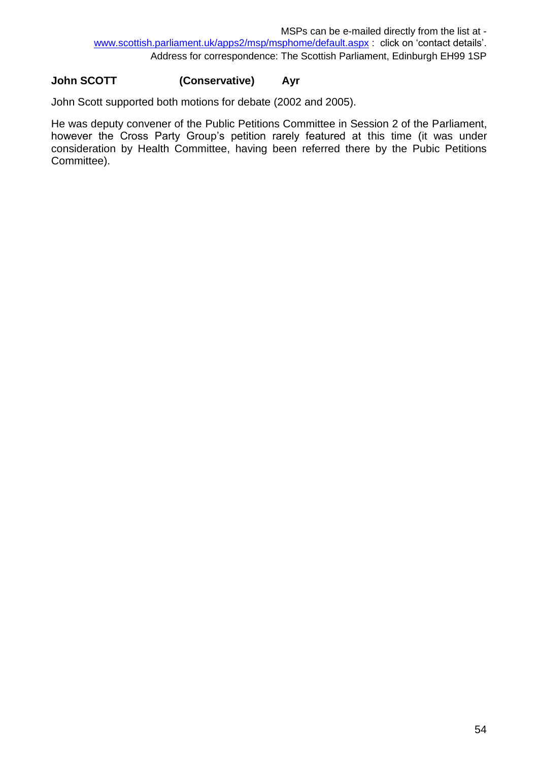## **John SCOTT (Conservative) Ayr**

John Scott supported both motions for debate (2002 and 2005).

He was deputy convener of the Public Petitions Committee in Session 2 of the Parliament, however the Cross Party Group's petition rarely featured at this time (it was under consideration by Health Committee, having been referred there by the Pubic Petitions Committee).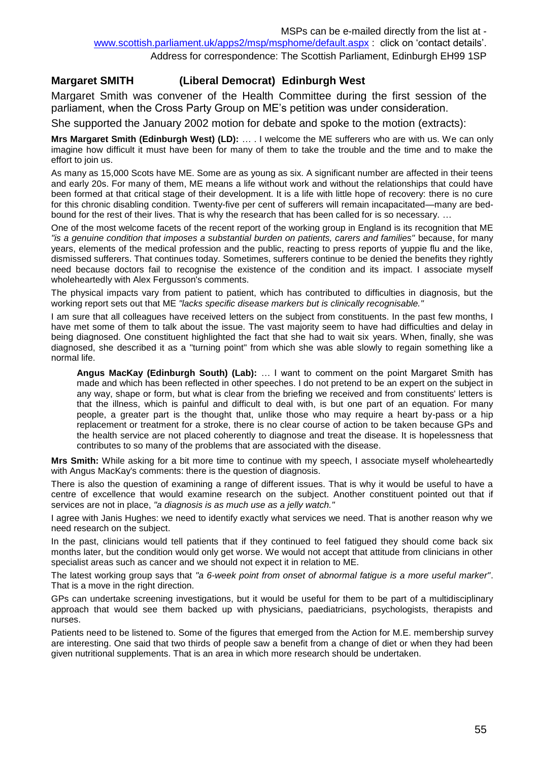### **Margaret SMITH (Liberal Democrat) Edinburgh West**

Margaret Smith was convener of the Health Committee during the first session of the parliament, when the Cross Party Group on ME's petition was under consideration.

She supported the January 2002 motion for debate and spoke to the motion (extracts):

**Mrs Margaret Smith (Edinburgh West) (LD):** … . I welcome the ME sufferers who are with us. We can only imagine how difficult it must have been for many of them to take the trouble and the time and to make the effort to join us.

As many as 15,000 Scots have ME. Some are as young as six. A significant number are affected in their teens and early 20s. For many of them, ME means a life without work and without the relationships that could have been formed at that critical stage of their development. It is a life with little hope of recovery: there is no cure for this chronic disabling condition. Twenty-five per cent of sufferers will remain incapacitated—many are bedbound for the rest of their lives. That is why the research that has been called for is so necessary. …

One of the most welcome facets of the recent report of the working group in England is its recognition that ME *"is a genuine condition that imposes a substantial burden on patients, carers and families"* because, for many years, elements of the medical profession and the public, reacting to press reports of yuppie flu and the like, dismissed sufferers. That continues today. Sometimes, sufferers continue to be denied the benefits they rightly need because doctors fail to recognise the existence of the condition and its impact. I associate myself wholeheartedly with Alex Fergusson's comments.

The physical impacts vary from patient to patient, which has contributed to difficulties in diagnosis, but the working report sets out that ME *"lacks specific disease markers but is clinically recognisable."* 

I am sure that all colleagues have received letters on the subject from constituents. In the past few months, I have met some of them to talk about the issue. The vast majority seem to have had difficulties and delay in being diagnosed. One constituent highlighted the fact that she had to wait six years. When, finally, she was diagnosed, she described it as a "turning point" from which she was able slowly to regain something like a normal life.

**Angus MacKay (Edinburgh South) (Lab):** … I want to comment on the point Margaret Smith has made and which has been reflected in other speeches. I do not pretend to be an expert on the subject in any way, shape or form, but what is clear from the briefing we received and from constituents' letters is that the illness, which is painful and difficult to deal with, is but one part of an equation. For many people, a greater part is the thought that, unlike those who may require a heart by-pass or a hip replacement or treatment for a stroke, there is no clear course of action to be taken because GPs and the health service are not placed coherently to diagnose and treat the disease. It is hopelessness that contributes to so many of the problems that are associated with the disease.

**Mrs Smith:** While asking for a bit more time to continue with my speech, I associate myself wholeheartedly with Angus MacKay's comments: there is the question of diagnosis.

There is also the question of examining a range of different issues. That is why it would be useful to have a centre of excellence that would examine research on the subject. Another constituent pointed out that if services are not in place, *"a diagnosis is as much use as a jelly watch."*

I agree with Janis Hughes: we need to identify exactly what services we need. That is another reason why we need research on the subject.

In the past, clinicians would tell patients that if they continued to feel fatigued they should come back six months later, but the condition would only get worse. We would not accept that attitude from clinicians in other specialist areas such as cancer and we should not expect it in relation to ME.

The latest working group says that *"a 6-week point from onset of abnormal fatigue is a more useful marker"*. That is a move in the right direction.

GPs can undertake screening investigations, but it would be useful for them to be part of a multidisciplinary approach that would see them backed up with physicians, paediatricians, psychologists, therapists and nurses.

Patients need to be listened to. Some of the figures that emerged from the Action for M.E. membership survey are interesting. One said that two thirds of people saw a benefit from a change of diet or when they had been given nutritional supplements. That is an area in which more research should be undertaken.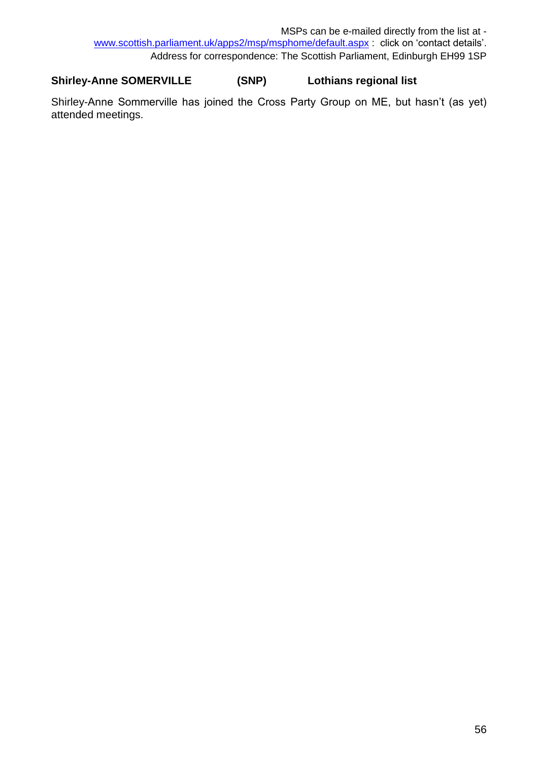## **Shirley-Anne SOMERVILLE (SNP) Lothians regional list**

Shirley-Anne Sommerville has joined the Cross Party Group on ME, but hasn't (as yet) attended meetings.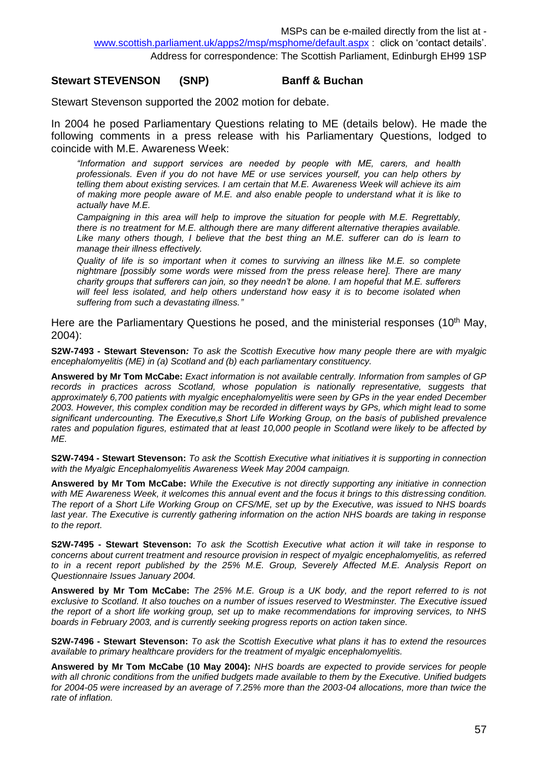#### **Stewart STEVENSON (SNP) Banff & Buchan**

Stewart Stevenson supported the 2002 motion for debate.

In 2004 he posed Parliamentary Questions relating to ME (details below). He made the following comments in a press release with his Parliamentary Questions, lodged to coincide with M.E. Awareness Week:

*"Information and support services are needed by people with ME, carers, and health professionals. Even if you do not have ME or use services yourself, you can help others by telling them about existing services. I am certain that M.E. Awareness Week will achieve its aim of making more people aware of M.E. and also enable people to understand what it is like to actually have M.E.*

*Campaigning in this area will help to improve the situation for people with M.E. Regrettably, there is no treatment for M.E. although there are many different alternative therapies available.*  Like many others though, I believe that the best thing an M.E. sufferer can do is learn to *manage their illness effectively.*

*Quality of life is so important when it comes to surviving an illness like M.E. so complete nightmare [possibly some words were missed from the press release here]. There are many charity groups that sufferers can join, so they needn't be alone. I am hopeful that M.E. sufferers will feel less isolated, and help others understand how easy it is to become isolated when suffering from such a devastating illness."*

Here are the Parliamentary Questions he posed, and the ministerial responses (10<sup>th</sup> May, 2004):

**S2W-7493 - Stewart Stevenson***: To ask the Scottish Executive how many people there are with myalgic encephalomyelitis (ME) in (a) Scotland and (b) each parliamentary constituency.*

**Answered by Mr Tom McCabe:** *Exact information is not available centrally. Information from samples of GP*  records in practices across Scotland, whose population is nationally representative, suggests that *approximately 6,700 patients with myalgic encephalomyelitis were seen by GPs in the year ended December 2003. However, this complex condition may be recorded in different ways by GPs, which might lead to some significant undercounting. The Executive's Short Life Working Group, on the basis of published prevalence rates and population figures, estimated that at least 10,000 people in Scotland were likely to be affected by ME.*

**S2W-7494 - Stewart Stevenson:** *To ask the Scottish Executive what initiatives it is supporting in connection with the Myalgic Encephalomyelitis Awareness Week May 2004 campaign.*

**Answered by Mr Tom McCabe:** *While the Executive is not directly supporting any initiative in connection*  with ME Awareness Week, it welcomes this annual event and the focus it brings to this distressing condition. *The report of a Short Life Working Group on CFS/ME, set up by the Executive, was issued to NHS boards last year. The Executive is currently gathering information on the action NHS boards are taking in response to the report.*

**S2W-7495 - Stewart Stevenson:** *To ask the Scottish Executive what action it will take in response to concerns about current treatment and resource provision in respect of myalgic encephalomyelitis, as referred*  to in a recent report published by the 25% M.E. Group, Severely Affected M.E. Analysis Report on *Questionnaire Issues January 2004.*

**Answered by Mr Tom McCabe:** *The 25% M.E. Group is a UK body, and the report referred to is not exclusive to Scotland. It also touches on a number of issues reserved to Westminster. The Executive issued the report of a short life working group, set up to make recommendations for improving services, to NHS boards in February 2003, and is currently seeking progress reports on action taken since.*

**S2W-7496 - Stewart Stevenson:** *To ask the Scottish Executive what plans it has to extend the resources available to primary healthcare providers for the treatment of myalgic encephalomyelitis.*

**Answered by Mr Tom McCabe (10 May 2004):** *NHS boards are expected to provide services for people with all chronic conditions from the unified budgets made available to them by the Executive. Unified budgets for 2004-05 were increased by an average of 7.25% more than the 2003-04 allocations, more than twice the rate of inflation.*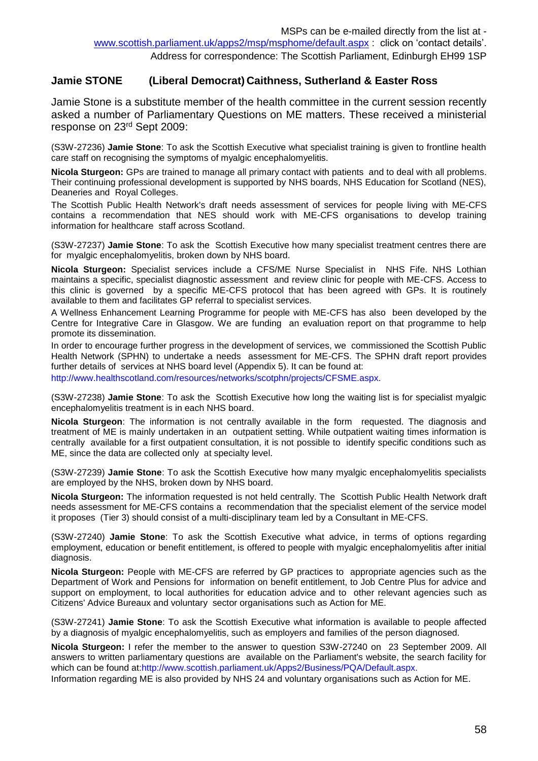#### **Jamie STONE (Liberal Democrat) Caithness, Sutherland & Easter Ross**

Jamie Stone is a substitute member of the health committee in the current session recently asked a number of Parliamentary Questions on ME matters. These received a ministerial response on 23rd Sept 2009:

(S3W-27236) **Jamie Stone**: To ask the Scottish Executive what specialist training is given to frontline health care staff on recognising the symptoms of myalgic encephalomyelitis.

**Nicola Sturgeon:** GPs are trained to manage all primary contact with patients and to deal with all problems. Their continuing professional development is supported by NHS boards, NHS Education for Scotland (NES), Deaneries and Royal Colleges.

The Scottish Public Health Network's draft needs assessment of services for people living with ME-CFS contains a recommendation that NES should work with ME-CFS organisations to develop training information for healthcare staff across Scotland.

(S3W-27237) **Jamie Stone**: To ask the Scottish Executive how many specialist treatment centres there are for myalgic encephalomyelitis, broken down by NHS board.

**Nicola Sturgeon:** Specialist services include a CFS/ME Nurse Specialist in NHS Fife. NHS Lothian maintains a specific, specialist diagnostic assessment and review clinic for people with ME-CFS. Access to this clinic is governed by a specific ME-CFS protocol that has been agreed with GPs. It is routinely available to them and facilitates GP referral to specialist services.

A Wellness Enhancement Learning Programme for people with ME-CFS has also been developed by the Centre for Integrative Care in Glasgow. We are funding an evaluation report on that programme to help promote its dissemination.

In order to encourage further progress in the development of services, we commissioned the Scottish Public Health Network (SPHN) to undertake a needs assessment for ME-CFS. The SPHN draft report provides further details of services at NHS board level (Appendix 5). It can be found at:

http://www.healthscotland.com/resources/networks/scotphn/projects/CFSME.aspx.

(S3W-27238) **Jamie Stone**: To ask the Scottish Executive how long the waiting list is for specialist myalgic encephalomyelitis treatment is in each NHS board.

**Nicola Sturgeon**: The information is not centrally available in the form requested. The diagnosis and treatment of ME is mainly undertaken in an outpatient setting. While outpatient waiting times information is centrally available for a first outpatient consultation, it is not possible to identify specific conditions such as ME, since the data are collected only at specialty level.

(S3W-27239) **Jamie Stone**: To ask the Scottish Executive how many myalgic encephalomyelitis specialists are employed by the NHS, broken down by NHS board.

**Nicola Sturgeon:** The information requested is not held centrally. The Scottish Public Health Network draft needs assessment for ME-CFS contains a recommendation that the specialist element of the service model it proposes (Tier 3) should consist of a multi-disciplinary team led by a Consultant in ME-CFS.

(S3W-27240) **Jamie Stone**: To ask the Scottish Executive what advice, in terms of options regarding employment, education or benefit entitlement, is offered to people with myalgic encephalomyelitis after initial diagnosis.

**Nicola Sturgeon:** People with ME-CFS are referred by GP practices to appropriate agencies such as the Department of Work and Pensions for information on benefit entitlement, to Job Centre Plus for advice and support on employment, to local authorities for education advice and to other relevant agencies such as Citizens' Advice Bureaux and voluntary sector organisations such as Action for ME.

(S3W-27241) **Jamie Stone**: To ask the Scottish Executive what information is available to people affected by a diagnosis of myalgic encephalomyelitis, such as employers and families of the person diagnosed.

**Nicola Sturgeon:** I refer the member to the answer to question S3W-27240 on 23 September 2009. All answers to written parliamentary questions are available on the Parliament's website, the search facility for which can be found at:http://www.scottish.parliament.uk/Apps2/Business/PQA/Default.aspx.

Information regarding ME is also provided by NHS 24 and voluntary organisations such as Action for ME.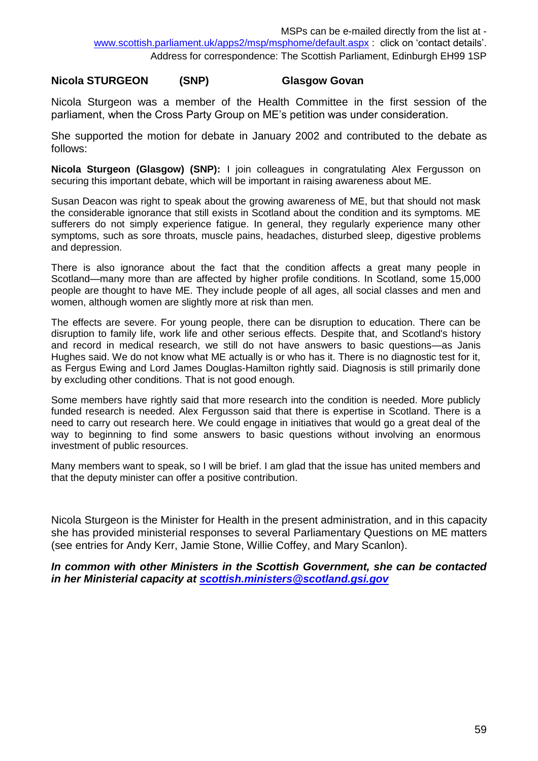#### **Nicola STURGEON (SNP) Glasgow Govan**

Nicola Sturgeon was a member of the Health Committee in the first session of the parliament, when the Cross Party Group on ME's petition was under consideration.

She supported the motion for debate in January 2002 and contributed to the debate as follows:

**Nicola Sturgeon (Glasgow) (SNP):** I join colleagues in congratulating Alex Fergusson on securing this important debate, which will be important in raising awareness about ME.

Susan Deacon was right to speak about the growing awareness of ME, but that should not mask the considerable ignorance that still exists in Scotland about the condition and its symptoms. ME sufferers do not simply experience fatigue. In general, they regularly experience many other symptoms, such as sore throats, muscle pains, headaches, disturbed sleep, digestive problems and depression.

There is also ignorance about the fact that the condition affects a great many people in Scotland—many more than are affected by higher profile conditions. In Scotland, some 15,000 people are thought to have ME. They include people of all ages, all social classes and men and women, although women are slightly more at risk than men.

The effects are severe. For young people, there can be disruption to education. There can be disruption to family life, work life and other serious effects. Despite that, and Scotland's history and record in medical research, we still do not have answers to basic questions—as Janis Hughes said. We do not know what ME actually is or who has it. There is no diagnostic test for it, as Fergus Ewing and Lord James Douglas-Hamilton rightly said. Diagnosis is still primarily done by excluding other conditions. That is not good enough.

Some members have rightly said that more research into the condition is needed. More publicly funded research is needed. Alex Fergusson said that there is expertise in Scotland. There is a need to carry out research here. We could engage in initiatives that would go a great deal of the way to beginning to find some answers to basic questions without involving an enormous investment of public resources.

Many members want to speak, so I will be brief. I am glad that the issue has united members and that the deputy minister can offer a positive contribution.

Nicola Sturgeon is the Minister for Health in the present administration, and in this capacity she has provided ministerial responses to several Parliamentary Questions on ME matters (see entries for Andy Kerr, Jamie Stone, Willie Coffey, and Mary Scanlon).

*In common with other Ministers in the Scottish Government, she can be contacted in her Ministerial capacity at [scottish.ministers@scotland.gsi.gov](mailto:scottish.ministers@scotland.gsi.gov)*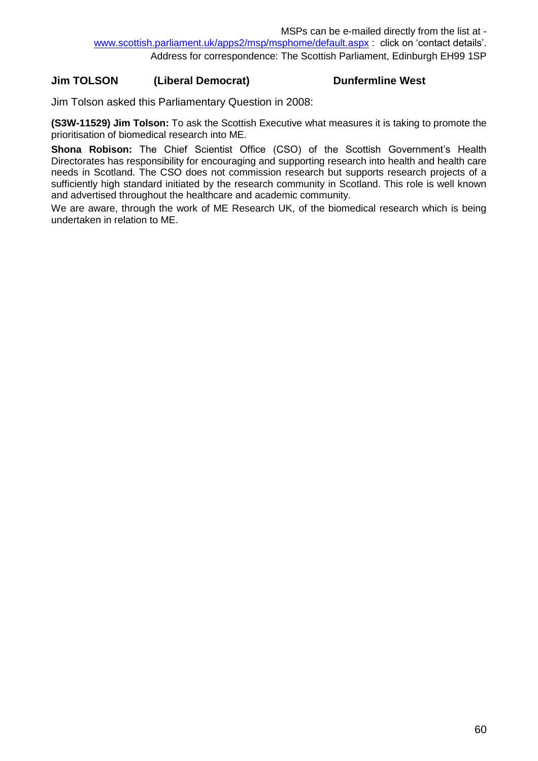### **Jim TOLSON (Liberal Democrat) Dunfermline West**

Jim Tolson asked this Parliamentary Question in 2008:

**(S3W-11529) Jim Tolson:** To ask the Scottish Executive what measures it is taking to promote the prioritisation of biomedical research into ME.

**Shona Robison:** The Chief Scientist Office (CSO) of the Scottish Government's Health Directorates has responsibility for encouraging and supporting research into health and health care needs in Scotland. The CSO does not commission research but supports research projects of a sufficiently high standard initiated by the research community in Scotland. This role is well known and advertised throughout the healthcare and academic community.

We are aware, through the work of ME Research UK, of the biomedical research which is being undertaken in relation to ME.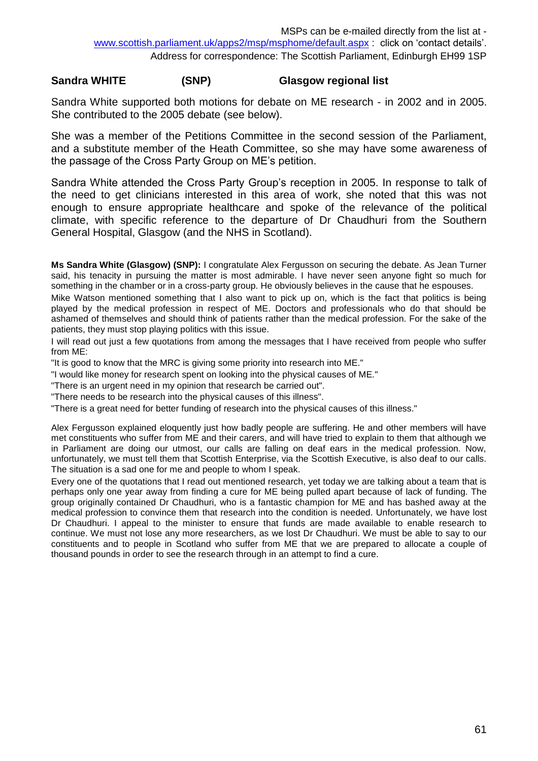#### **Sandra WHITE (SNP) Glasgow regional list**

Sandra White supported both motions for debate on ME research - in 2002 and in 2005. She contributed to the 2005 debate (see below).

She was a member of the Petitions Committee in the second session of the Parliament, and a substitute member of the Heath Committee, so she may have some awareness of the passage of the Cross Party Group on ME's petition.

Sandra White attended the Cross Party Group's reception in 2005. In response to talk of the need to get clinicians interested in this area of work, she noted that this was not enough to ensure appropriate healthcare and spoke of the relevance of the political climate, with specific reference to the departure of Dr Chaudhuri from the Southern General Hospital, Glasgow (and the NHS in Scotland).

**Ms Sandra White (Glasgow) (SNP):** I congratulate Alex Fergusson on securing the debate. As Jean Turner said, his tenacity in pursuing the matter is most admirable. I have never seen anyone fight so much for something in the chamber or in a cross-party group. He obviously believes in the cause that he espouses.

Mike Watson mentioned something that I also want to pick up on, which is the fact that politics is being played by the medical profession in respect of ME. Doctors and professionals who do that should be ashamed of themselves and should think of patients rather than the medical profession. For the sake of the patients, they must stop playing politics with this issue.

I will read out just a few quotations from among the messages that I have received from people who suffer from ME:

"It is good to know that the MRC is giving some priority into research into ME."

"I would like money for research spent on looking into the physical causes of ME."

"There is an urgent need in my opinion that research be carried out".

"There needs to be research into the physical causes of this illness".

"There is a great need for better funding of research into the physical causes of this illness."

Alex Fergusson explained eloquently just how badly people are suffering. He and other members will have met constituents who suffer from ME and their carers, and will have tried to explain to them that although we in Parliament are doing our utmost, our calls are falling on deaf ears in the medical profession. Now, unfortunately, we must tell them that Scottish Enterprise, via the Scottish Executive, is also deaf to our calls. The situation is a sad one for me and people to whom I speak.

Every one of the quotations that I read out mentioned research, yet today we are talking about a team that is perhaps only one year away from finding a cure for ME being pulled apart because of lack of funding. The group originally contained Dr Chaudhuri, who is a fantastic champion for ME and has bashed away at the medical profession to convince them that research into the condition is needed. Unfortunately, we have lost Dr Chaudhuri. I appeal to the minister to ensure that funds are made available to enable research to continue. We must not lose any more researchers, as we lost Dr Chaudhuri. We must be able to say to our constituents and to people in Scotland who suffer from ME that we are prepared to allocate a couple of thousand pounds in order to see the research through in an attempt to find a cure.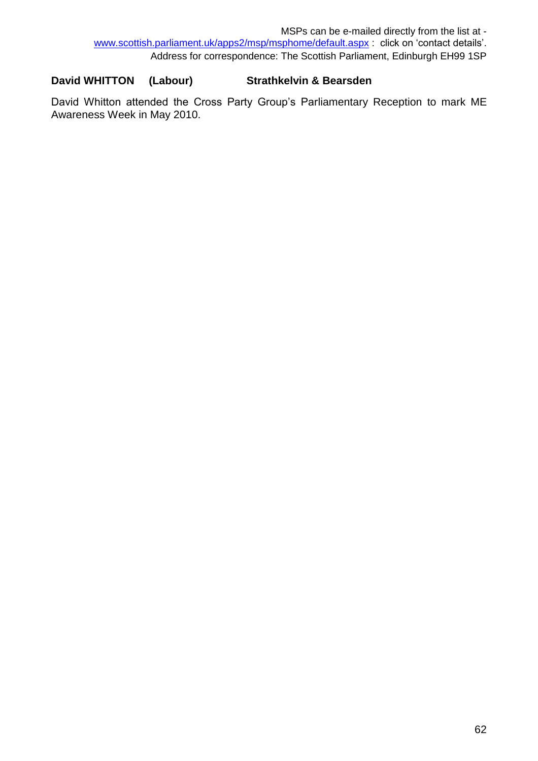## **David WHITTON (Labour) Strathkelvin & Bearsden**

David Whitton attended the Cross Party Group's Parliamentary Reception to mark ME Awareness Week in May 2010.